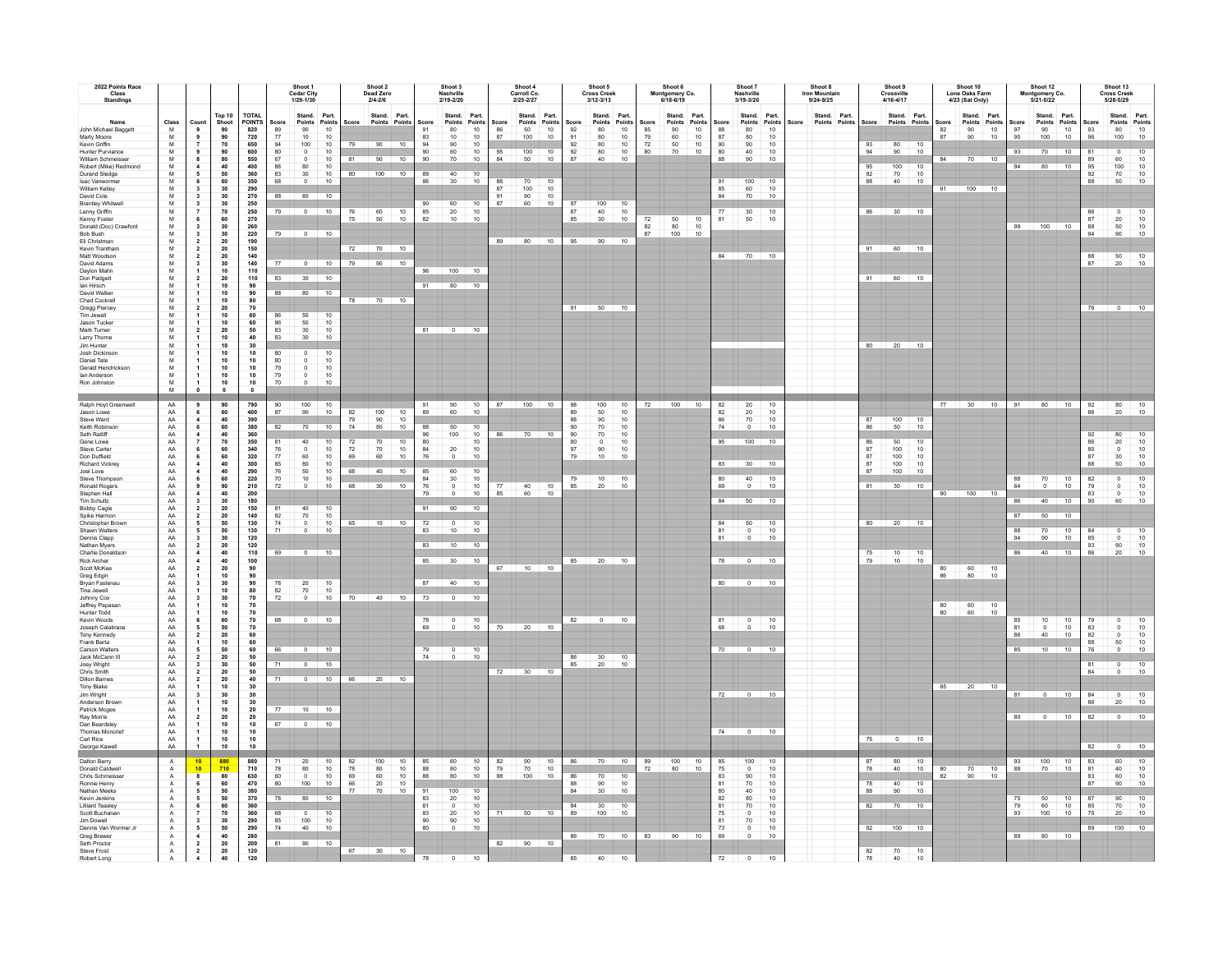| 2022 Points Race<br>Class<br><b>Standings</b>                                                                                                                                                           |                                                                                                                                                 |                                                                                                                 |                                                                                                                                          |                                                                                                                   |                                                                          | Shoot 1<br><b>Cedar City</b><br>1/29-1/30                                                                                                              |                                                                                                           |                                               | Shoot 2<br>Dead Zero<br>$2/4 - 2/6$                                         |                                                                                                                                                | Shoot 3<br>Nashville<br>2/19-2/20                                  |                                                                                                                                |                                                                                                                | Carroll Co.<br>2/25-2/27                                                                                                                          |                                                                                                                    |                                                                | Shoot 5<br><b>Cross Creek</b><br>$3/12 - 3/13$                       |                                                                                    |                               | Shoot 6<br>Montgomery Co.<br>6/18-6/19                                  |                                                                             |                                                                                                                     | Shoot 7<br>Nashville<br>3/19-3/20                                                                                               |                                                                                               | Shoot 8<br><b>Iron Mountair</b><br>$9/24 - 9/25$ |                                                                                                                                     | Shoot 9<br>Crossville<br>4/16-4/17                                                                           |                                               |                                         | Lone Oaks Farm<br>4/23 (Sat Only)                                                     |                 |                                                     | Shoot 12<br>Montgomery Co.<br>5/21-5/22              |                                    |                                                        | Shoot 13<br><b>Cross Creek</b><br>5/28-5/29                                                                |                                                                                        |
|---------------------------------------------------------------------------------------------------------------------------------------------------------------------------------------------------------|-------------------------------------------------------------------------------------------------------------------------------------------------|-----------------------------------------------------------------------------------------------------------------|------------------------------------------------------------------------------------------------------------------------------------------|-------------------------------------------------------------------------------------------------------------------|--------------------------------------------------------------------------|--------------------------------------------------------------------------------------------------------------------------------------------------------|-----------------------------------------------------------------------------------------------------------|-----------------------------------------------|-----------------------------------------------------------------------------|------------------------------------------------------------------------------------------------------------------------------------------------|--------------------------------------------------------------------|--------------------------------------------------------------------------------------------------------------------------------|----------------------------------------------------------------------------------------------------------------|---------------------------------------------------------------------------------------------------------------------------------------------------|--------------------------------------------------------------------------------------------------------------------|----------------------------------------------------------------|----------------------------------------------------------------------|------------------------------------------------------------------------------------|-------------------------------|-------------------------------------------------------------------------|-----------------------------------------------------------------------------|---------------------------------------------------------------------------------------------------------------------|---------------------------------------------------------------------------------------------------------------------------------|-----------------------------------------------------------------------------------------------|--------------------------------------------------|-------------------------------------------------------------------------------------------------------------------------------------|--------------------------------------------------------------------------------------------------------------|-----------------------------------------------|-----------------------------------------|---------------------------------------------------------------------------------------|-----------------|-----------------------------------------------------|------------------------------------------------------|------------------------------------|--------------------------------------------------------|------------------------------------------------------------------------------------------------------------|----------------------------------------------------------------------------------------|
| Name<br>John Michael Baggett<br>Marty Moore<br>Kevin Griffin<br>Hunter Purviance<br>William Schmeisse<br>Robert (Mike) Redmond<br>Durand Sledge<br><b>Isac Vanworme</b><br>William Kelley<br>David Cole | Class<br>M<br>M<br>${\sf M}$<br>${\sf M}$<br>$\begin{array}{c}\nM \\ M \\ M\n\end{array}$<br>${\sf M}$<br>$\mathsf{M}$<br>$\frac{M}{M}$         | Count<br>- 9<br>$_{9}$<br>- 5<br>6<br>$\overline{\mathbf{3}}$<br>$\mathbf{3}$                                   | Top 10<br>Shoot<br>90<br>$\frac{90}{70}$<br>90<br>80                                                                                     | <b>TOTAL</b><br><b>POINTS</b><br>820<br>720<br>650<br>600<br>550<br>400<br>360<br>350<br>290<br>$\frac{270}{250}$ | Score<br>89<br>83<br>68<br>88                                            | Stand<br>Points<br>$\frac{90}{10}$<br>100<br>$\mathbf 0$<br>80<br>$\frac{30}{0}$<br>80                                                                 | Part.<br>Points<br>$\begin{array}{c} 10 \\ 10 \\ 10 \end{array}$<br>10<br>$10\,$<br>$\frac{10}{10}$<br>10 | Score<br>79<br>81<br>80                       | Stand. Part.<br>Points Points<br>90<br>90 10<br>$100 - 10$                  | Score<br>91<br>$\frac{83}{94}$<br>10<br>$\frac{90}{90}$<br>$\begin{array}{r} 89 \\ 86 \end{array}$                                             | Stand.<br>Points<br>$\frac{80}{10}$<br>60<br>70<br>$\frac{40}{30}$ | Part.<br>Points<br>$\frac{10}{10}$<br>$\frac{10}{10}$<br>$\frac{10}{10}$                                                       | Score<br>$\begin{array}{c} 86 \\ 87 \end{array}$<br>$\frac{95}{84}$<br>$\begin{array}{c} 88 \\ 87 \end{array}$ | stand.<br>Points<br>$\begin{array}{c}\n50 \\ 100\n\end{array}$<br>$\frac{100}{50}$<br>$\frac{70}{100}$<br>$\begin{array}{c} 90 \\ 60 \end{array}$ | Part.<br>Points<br>$\frac{10}{10}$<br>$\frac{10}{10}$<br>$\begin{array}{c} 10 \\ 10 \\ 10 \\ 10 \\ 10 \end{array}$ | Score<br>$\frac{92}{92}$<br>$\frac{91}{92}$<br>$\frac{92}{87}$ | Points<br>$\begin{array}{c} 80 \\ 80 \\ 80 \\ 80 \\ 40 \end{array}$  | Part.<br>Points<br>$\begin{array}{c} 10 \\ 10 \\ 10 \\ 10 \\ 10 \\ 10 \end{array}$ | Score<br>85<br>79<br>72<br>80 | Stand.<br>Points<br>$\begin{array}{r} 90 \\ 60 \\ 50 \end{array}$<br>70 | Part<br>Points<br>$\begin{array}{c} 10 \\ 10 \\ 10 \\ 10 \\ 10 \end{array}$ | Score<br>$\begin{array}{r} 88 \\ 87 \\ 90 \\ 80 \\ 88 \end{array}$<br>91<br>$\begin{array}{c} 85 \\ 84 \end{array}$ | Stand.<br>Points<br>$\begin{array}{c} 80 \\ 80 \\ 90 \end{array}$<br>40<br>90<br>$\begin{array}{c} 100 \\ 60 \\ 70 \end{array}$ | Part.<br>Points<br>$\frac{10}{10}$<br>$10$<br>10<br>10<br>$\frac{10}{10}$                     | Stand.<br>Part.<br>Points<br>Points              | Score<br>93<br>94<br>$\begin{array}{r} 95 \\ 92 \\ 88 \end{array}$                                                                  | Stand. Part.<br>Points Points<br>$\begin{array}{c} 80 \\ 90 \end{array}$<br>$\frac{100}{70}$ $\frac{70}{40}$ | 10<br>10<br>$\frac{10}{10}$                   | Score<br>$\frac{82}{87}$<br>84          | Stand.<br><b>Points Points</b><br>90 10<br>90 10<br>91 100 10                         | Part.           | Score<br>$\frac{97}{95}$<br>93<br>94                | Stand.<br>Points<br>90 10<br>100 10<br>70<br>80      | Part.<br>10<br>10                  | Score<br>$\frac{93}{96}$<br>81<br>89<br>95<br>92<br>88 | Stand.<br>Points<br>80 10<br>100 10<br>$\circ$<br>$60\,$<br>$\begin{array}{c} 100 \\ 70 \\ 50 \end{array}$ | Part.<br>$\begin{array}{c} 10 \\ 10 \\ 10 \\ 10 \\ 10 \end{array}$                     |
| <b>Brantley Whitw</b><br>Lanny Griffin<br>Kenny Foster<br>Donald (Doc) Crawford<br>Bob Bush<br>Eli Christman<br>Kevin Trantham                                                                          | ${\sf M}$<br>${\sf M}$<br>$_{\rm M}^{\rm M}$<br>${\sf M}$                                                                                       | $\,$ 6<br>$\overline{\mathbf{3}}$<br>$\overline{\mathbf{3}}$<br>$\overline{\mathbf{2}}$<br>$\overline{2}$       | 40<br>50<br>60<br>30<br>30<br>70<br>60<br>30<br>30<br>20<br>20                                                                           | 250<br>270<br>260<br>220<br>190<br>150                                                                            | 79                                                                       | $\begin{array}{ c c c c c c } \hline \multicolumn{1}{ c }{0} & \multicolumn{1}{ c }{10} \\\hline \end{array}$<br>$79 \qquad \qquad 0 \qquad \qquad 10$ |                                                                                                           | 76<br>75<br>72                                | 60<br>50<br>$70$ 10                                                         | $\frac{85}{82}$<br>$\frac{10}{10}$                                                                                                             | $\frac{60}{20}$<br>10 <sup>10</sup>                                | $\frac{10}{10}$                                                                                                                | $\begin{array}{c} 91 \\ 87 \end{array}$                                                                        | 89 80 10                                                                                                                                          |                                                                                                                    | 87<br>85                                                       | $\frac{100}{40}$<br>30<br>95 90 10                                   | 10<br>$10\,$<br>10                                                                 | 72<br>$\frac{82}{87}$         | $\begin{array}{r}\n 50 \\  \hline\n 80 \\  \hline\n 100\n \end{array}$  | 10<br>$\frac{10}{10}$                                                       | 81                                                                                                                  | $\frac{30}{50}$                                                                                                                 | 10<br>10                                                                                      |                                                  | 91                                                                                                                                  | 86 30 10<br>60                                                                                               | 10                                            |                                         |                                                                                       |                 | 99                                                  | $100$ 10                                             |                                    | 87<br>$\frac{88}{94}$                                  | $\circ$<br>$\begin{array}{r} 20 \\ 50 \\ 90 \end{array}$                                                   | $10$<br>$\begin{array}{c} 10 \\ 10 \\ 10 \\ 10 \end{array}$                            |
| Matt Woodsor<br>David Adams<br>Daylon Mahn<br>Don Padgett<br>Ian Hirsch<br>David Walke<br>Chad Cockrell                                                                                                 | $\begin{array}{c} \hline \text{M} \\ \text{M} \\ \text{M} \\ \text{M} \end{array}$<br>$\begin{array}{c}\nM \\ M \\ M\n\end{array}$<br>${\sf M}$ | $\overline{\mathbf{2}}$<br>$\overline{\mathbf{3}}$<br>$\overline{2}$                                            | $\begin{array}{c} 20 \\ 30 \\ 10 \\ 20 \\ 10 \\ 10 \\ 10 \end{array}$<br>10                                                              | 140<br>140<br>110<br>110<br>90<br>90<br>80                                                                        | 77<br>83                                                                 | $0$ 10<br>30<br>88 80                                                                                                                                  | 10<br>10                                                                                                  | 78                                            | 79 90 10<br>$70$ 10                                                         |                                                                                                                                                | 96 100 10<br>91 80 10                                              |                                                                                                                                |                                                                                                                |                                                                                                                                                   |                                                                                                                    |                                                                |                                                                      |                                                                                    |                               |                                                                         |                                                                             |                                                                                                                     | 84 70 10                                                                                                                        |                                                                                               |                                                  |                                                                                                                                     | 91 60 10                                                                                                     |                                               |                                         |                                                                                       |                 |                                                     |                                                      |                                    | $rac{88}{87}$                                          | $\frac{50}{20}$<br>$\frac{10}{10}$                                                                         |                                                                                        |
| Gregg Piercey<br>Tim Jewell<br>Jason Tucke<br>Mark Turner<br>Larry Thorne<br>Jim Hunter<br>Josh Dickinsor<br>Daniel Tate                                                                                | ${\sf M}$<br>$\begin{array}{c}\nM \\ M \\ M\n\end{array}$<br>${\sf M}$<br>${\sf M}$<br>M<br>M                                                   | $\overline{2}$                                                                                                  | ${\bf 20}$<br>$\frac{10}{10}$<br>$\frac{10}{20}$<br>$\frac{20}{10}$<br>$\frac{10}{10}$<br>$10$<br>$10$                                   | 70<br>$60$<br>$60$<br>$50$<br>$40$<br>$30$<br>$10\,$                                                              | $\begin{array}{c} 86 \\ 86 \end{array}$<br>83<br>83<br>80<br>$_{\rm 80}$ | $\begin{array}{r} 50 \\ 50 \\ 30 \\ 30 \end{array}$<br>$\mathbf 0$                                                                                     | $\frac{10}{10}$<br>10<br>10<br>10<br>$10\,$                                                               |                                               |                                                                             | 81                                                                                                                                             |                                                                    | $0 \t 10$                                                                                                                      |                                                                                                                |                                                                                                                                                   |                                                                                                                    |                                                                | 91 50 10                                                             |                                                                                    |                               |                                                                         |                                                                             |                                                                                                                     |                                                                                                                                 |                                                                                               |                                                  |                                                                                                                                     | 80 20 10                                                                                                     |                                               |                                         |                                                                                       |                 |                                                     |                                                      |                                    |                                                        | 76 0 10                                                                                                    |                                                                                        |
| Gerald Hendricksor<br>lan Anderson<br>Ron Johnston<br>Ralph Hoyt Greenwel                                                                                                                               | ${\sf M}$<br>$\begin{array}{c}\nM \\ M \\ M\n\end{array}$<br>$AA$<br>$AA$                                                                       | $\mathbf{1}$<br>$\begin{array}{c} 1 \\ 1 \\ 0 \end{array}$<br>9                                                 | $10\,$<br>$\begin{array}{c}\n10 \\ 10 \\ 0\n\end{array}$<br>$\frac{90}{60}$                                                              | $10\,$<br>$\begin{array}{c} 10 \\ 10 \\ 0 \end{array}$<br>790                                                     | 79<br>$^{79}_{70}$<br>$\frac{90}{87}$                                    | $\overline{0}$<br>$\circ$<br>$\frac{100}{90}$                                                                                                          | $10\,$<br>$\frac{10}{10}$<br>$\frac{10}{10}$                                                              |                                               |                                                                             | $\frac{91}{89}$                                                                                                                                | $\begin{array}{c} 90 \\ 60 \end{array}$                            | $\frac{10}{10}$                                                                                                                | 87                                                                                                             | 100 10                                                                                                                                            |                                                                                                                    | $\frac{98}{89}$                                                | $\frac{100}{50}$                                                     | 10                                                                                 | 72                            | 100                                                                     | 10                                                                          |                                                                                                                     | $\frac{20}{20}$                                                                                                                 |                                                                                               |                                                  |                                                                                                                                     |                                                                                                              |                                               |                                         | 30                                                                                    | 10              | 91                                                  | 80                                                   | 10                                 | $\frac{92}{86}$                                        | $\begin{array}{c} 80 \\ 20 \end{array}$                                                                    | $\frac{10}{10}$                                                                        |
| Jason Lowe<br>Steve Ward<br>Keith Robinsor<br>Seth Ratliff<br>Gene Lowe<br>Steve Carte<br>Don Duffield<br>Richard Vickrey<br>Joel Love                                                                  | AA<br>AA<br>AA<br>AA<br>AA<br>AA                                                                                                                | 6                                                                                                               | $\begin{array}{r} 40 \\ 60 \\ 40 \\ 70 \\ 60 \end{array}$<br>60<br>${\bf 40}$                                                            | 400<br>390<br>380<br>360<br>350<br>350<br>340<br>320<br>300                                                       | 82<br>$\frac{81}{76}$<br>85                                              | 70<br>$^{40}_{\hphantom{00}0}$<br>$60\,$<br>80                                                                                                         | 10<br>$\frac{10}{10}$<br>$10\,$<br>$10\,$                                                                 | 82<br>79<br>74<br>$\frac{72}{72}$<br>69<br>68 | 100<br>$\begin{array}{c} 90 \\ 80 \end{array}$<br>$\frac{70}{70}$<br>40     | $\begin{array}{c} 10 \\ 10 \\ 10 \\ 10 \end{array}$<br>88<br>96<br>80<br>84<br>76<br>$\begin{array}{c} 10 \\ 10 \\ 10 \\ 10 \end{array}$<br>10 | $\frac{50}{100}$<br>$20\,$<br>$\mathbf 0$                          | $\begin{array}{c} 10 \\ 10 \\ 10 \\ 10 \\ 10 \\ 10 \end{array}$                                                                | 86                                                                                                             | 70 10                                                                                                                                             |                                                                                                                    | 90<br>$\begin{array}{c} 90 \\ 80 \\ 97 \end{array}$<br>79      | $\frac{90}{70}$<br>$\frac{90}{10}$                                   | $10$<br>$10\,$<br>10<br>10<br>10<br>$10\,$<br>10                                   |                               |                                                                         |                                                                             | $\begin{array}{r} 82 \\ 82 \\ 86 \end{array}$<br>74<br>95<br>83                                                     | 70<br>$\Omega$<br>100<br>30 10                                                                                                  | $\begin{array}{c} 10 \\ 10 \\ 10 \\ 10 \\ 10 \end{array}$<br>10                               |                                                  | $\begin{array}{c} 87 \\ 86 \end{array}$<br>$\begin{array}{c} 86 \\ 87 \end{array}$<br>$\begin{array}{r} 87 \\ 87 \\ 87 \end{array}$ | $\begin{array}{c cc} 100 & & 10 \\ 50 & & 10 \end{array}$<br>$\frac{50}{100}$<br>$100\,$<br>$100\,$<br>$100$ | $\frac{10}{10}$<br>$10\,$<br>$10\,$<br>10     |                                         |                                                                                       |                 |                                                     |                                                      |                                    | 92<br>87<br>88                                         | 80<br>$\overline{20}$<br>$30\,$<br>50                                                                      | $\frac{10}{10}$<br>$\begin{array}{c} 10 \\ 10 \end{array}$                             |
| Steve Thompson<br>Ronald Rogers<br>Stephen Hall<br>Tim Schultz<br><b>Bobby Cagle</b><br>Spike Harmor<br>Christopher Bro                                                                                 |                                                                                                                                                 | $\overline{\mathbf{2}}$<br>5                                                                                    | $\begin{array}{c} 40 \\ 60 \\ 90 \\ 40 \end{array}$<br>$\begin{array}{c} 30 \\ 20 \end{array}$                                           | 290<br>220<br>210<br>200<br>180<br>150                                                                            | $\frac{76}{70}$<br>$72\,$<br>81<br>$\frac{82}{74}$                       | $\frac{50}{10}$<br>$\Omega$<br>40<br>$_{\rm 0}^{70}$                                                                                                   | $\frac{10}{10}$<br>10 <sub>10</sub><br>10<br>$\frac{10}{10}$                                              | 68                                            | 30<br>65 10 10                                                              | $\frac{85}{84}$<br>10<br>76<br>79                                                                                                              | $\frac{60}{30}$<br>$\frac{0}{0}$<br>91 90 10                       | $\frac{10}{10}$<br>$\frac{10}{10}$                                                                                             | $\frac{77}{85}$                                                                                                | $\frac{40}{60}$                                                                                                                                   | $\frac{10}{10}$                                                                                                    | $\frac{79}{85}$                                                | $\frac{10}{20}$                                                      | $\frac{10}{10}$                                                                    |                               |                                                                         |                                                                             | 80<br>69<br>84<br>84                                                                                                | $\frac{40}{0}$<br>50                                                                                                            | 10<br>10<br>10                                                                                |                                                  | 80                                                                                                                                  | 81 30<br>$20 \t 10$                                                                                          | 10                                            | 90                                      | $100$ $10$                                                                            |                 | $\frac{88}{64}$<br>86<br>87                         | $\frac{70}{0}$<br>40<br>50 10                        | $\frac{10}{10}$<br>10              | $\begin{array}{r} 82 \\ 79 \\ 83 \end{array}$          | $\begin{array}{c} 0 \\ 0 \end{array}$<br>$\circ$                                                           | $\begin{array}{c} 10 \\ 10 \\ 10 \\ 10 \end{array}$                                    |
| Shawn Walters<br>Dennis Clapp<br>Nathan Myers<br>Charlie Donalds<br><b>Rick Archer</b><br>Scott McKee                                                                                                   |                                                                                                                                                 | $\frac{5}{3}$<br>$\overline{2}$<br>$\overline{2}$                                                               | 20<br>50<br>50<br>50<br>30<br>20<br>40<br>40<br>20<br>10<br>30<br>10<br>30                                                               | 140<br>130<br>130<br>130<br>120<br>110<br>$100\,$<br>90<br>90                                                     | 71                                                                       | 69 0                                                                                                                                                   | 10                                                                                                        |                                               |                                                                             | $\frac{72}{83}$<br>83                                                                                                                          | $\begin{array}{c} 0 \\ 10 \end{array}$<br>10                       | $\frac{10}{10}$<br>10<br>$\begin{array}{ c c c c c } \hline \rule{0.2cm}{0.2cm} & 30 & \hspace{0.2cm} & 10 \hline \end{array}$ |                                                                                                                | 67 10 10                                                                                                                                          |                                                                                                                    |                                                                | 85 20 10                                                             |                                                                                    |                               |                                                                         |                                                                             | $\begin{array}{c} 81 \\ 81 \end{array}$<br>78                                                                       | 50<br>$\circ$<br>$\sim$ 0                                                                                                       | $\frac{10}{10}$<br>10                                                                         |                                                  |                                                                                                                                     | $\begin{array}{c cc} 75 & & 10 & & 10 \\ 79 & & 10 & & 10 \end{array}$                                       |                                               | $\begin{array}{c} 80 \\ 86 \end{array}$ | $\frac{60}{80}$                                                                       | $\frac{10}{10}$ | $\frac{88}{94}$<br>86                               | $\frac{70}{90}$<br>$-40$                             | $\frac{10}{10}$<br>$\overline{10}$ | 84<br>85<br>93<br>86                                   | $\frac{0}{0}$<br>$\begin{array}{c} 90 \\ 20 \end{array}$                                                   | $\frac{10}{10}$                                                                        |
| Greg Edgin<br>Bryan Fastenau<br>Tina Jewell<br>Johnny Cox<br>Jeffrey Papasar<br>Hunter Todd<br>Kevin Woods                                                                                              |                                                                                                                                                 | $\overline{\mathbf{3}}$                                                                                         | $10$<br>$10$                                                                                                                             | 90<br>80<br>70<br>$70\,$<br>$70\,$                                                                                | 78<br>$\frac{82}{72}$                                                    | $\frac{20}{70}$<br>68 0 10                                                                                                                             | 10<br>$\frac{10}{10}$                                                                                     | 70                                            | 40 10                                                                       | 73                                                                                                                                             | 87 40 10<br>$\overline{\phantom{a}}$                               | 10                                                                                                                             |                                                                                                                |                                                                                                                                                   |                                                                                                                    |                                                                | 82 0 10                                                              |                                                                                    |                               |                                                                         |                                                                             |                                                                                                                     | 80 0                                                                                                                            | 10 <sup>°</sup>                                                                               |                                                  |                                                                                                                                     |                                                                                                              |                                               | $\begin{array}{c} 80 \\ 80 \end{array}$ | $\begin{array}{ c c c c }\n\hline\n60 & 10 \\ \hline\n60 & 10 \\ \hline\n\end{array}$ |                 |                                                     |                                                      |                                    |                                                        |                                                                                                            |                                                                                        |
| Joseph Calabrace<br><b>Tony Kennedy</b><br>Frank Berta<br>Carson Walters<br>Jack McCann III<br>Joey Wright<br>Chris Smith                                                                               |                                                                                                                                                 | - 5<br>$\overline{2}$<br>$\overline{\mathbf{2}}$<br>$\overline{\mathbf{2}}$                                     | 60<br>50<br>$20$<br>$10$<br>$50$<br>$20$                                                                                                 | 70<br>70<br>60<br>60<br>60<br>50<br>50                                                                            | 71                                                                       | 66 0<br>$0$ 10                                                                                                                                         | 10                                                                                                        |                                               |                                                                             | $\frac{78}{69}$                                                                                                                                | $\begin{array}{c cc} 79 & 0 & 10 \\ 74 & 0 & 10 \end{array}$       | $\begin{array}{ c c c c c }\n\hline\n0 & 10 \\ \hline\n0 & 10\n\end{array}$                                                    |                                                                                                                | 70 20 10<br>72 30 10                                                                                                                              |                                                                                                                    | R <sub>5</sub>                                                 | $\begin{array}{c cc}\n & 30 & 10 \\ \hline\n & 20 & 10\n\end{array}$ |                                                                                    |                               |                                                                         |                                                                             | $\begin{array}{c} 81 \\ 68 \end{array}$<br>70 0                                                                     | $\begin{array}{c c}\n\hline\n0 & 10 \\ \hline\n0 & 10\n\end{array}$                                                             | 10                                                                                            |                                                  |                                                                                                                                     |                                                                                                              |                                               |                                         |                                                                                       |                 | $\begin{array}{r} 85 \\ 81 \\ 86 \end{array}$<br>85 | $\begin{array}{c}\n10 \\ 0 \\ 40\n\end{array}$<br>10 | $\frac{10}{10}$<br>10              | 79<br>83<br>82<br>88<br>76<br>$rac{81}{84}$            | $^{\circ}$<br>$^{\circ}$<br>$50\,$<br>$\mathbf 0$<br>$\Omega$                                              | $\begin{array}{c} 10 \\ 10 \\ 10 \\ 10 \\ 10 \\ \hline \end{array}$<br>$\frac{10}{10}$ |
| <b>Dillon Barnes</b><br><b>Tony Blake</b><br>Jim Wright<br>Anderson Brown<br>Patrick Mcgee<br>Ray Morris<br>Dan Beardsley                                                                               |                                                                                                                                                 | $\overline{\mathbf{2}}$<br>$\overline{\mathbf{3}}$<br>$\mathbf{1}$<br>$\overline{\mathbf{2}}$<br>$\blacksquare$ | $\begin{array}{r} 20 \\ 30 \\ 20 \\ 10 \\ 30 \end{array}$<br>10<br>$\begin{array}{c} 10 \\ 20 \\ 10 \\ 10 \\ 10 \\ 10 \\ 10 \end{array}$ | 50<br>$\frac{40}{30}$<br>30<br>30<br>$\frac{20}{20}$<br>10                                                        |                                                                          | 77 10 10<br>67 0 10                                                                                                                                    |                                                                                                           |                                               | 71 0 10 66 20 10                                                            |                                                                                                                                                |                                                                    |                                                                                                                                |                                                                                                                |                                                                                                                                                   |                                                                                                                    |                                                                |                                                                      |                                                                                    |                               |                                                                         |                                                                             | 72                                                                                                                  | $\overline{0}$                                                                                                                  | 10                                                                                            |                                                  |                                                                                                                                     |                                                                                                              |                                               |                                         | 65 20 10                                                                              |                 | 80                                                  | 81 0<br>$0 \t 10 \t 82$                              | 10                                 | $\frac{84}{86}$                                        | $\circ$<br>20<br>$0 \t 10$                                                                                 | $\frac{10}{10}$                                                                        |
| Thomas Moncrie<br>Carl Rice<br>George Kawel<br>Dalton Berry<br>Donald Caldwe                                                                                                                            | A                                                                                                                                               | $\overline{1}$<br>$\frac{1}{1}$<br>$\frac{10}{10}$                                                              | $\frac{880}{710}$                                                                                                                        | $\begin{array}{c} 10 \\ 10 \\ 10 \end{array}$<br>710                                                              | 78                                                                       | $\frac{20}{80}$                                                                                                                                        | $\begin{array}{c} 10 \\ 10 \\ 10 \\ 10 \\ 10 \end{array}$                                                 |                                               |                                                                             | $\begin{array}{r} 85 \\ 88 \\ 88 \end{array}$                                                                                                  | $\begin{array}{r} 60 \\ 80 \\ 80 \end{array}$                      | $\frac{10}{10}$                                                                                                                | $\frac{82}{79}$<br>$88$                                                                                        | $\frac{90}{70}$<br>100                                                                                                                            | $\frac{10}{10}$                                                                                                    | 86                                                             | 70 10                                                                |                                                                                    | $\frac{89}{72}$               | $\begin{array}{c c} \hline 100 \\ \hline 80 \\ \hline \end{array}$      | $\frac{10}{10}$                                                             | $\frac{85}{75}$                                                                                                     | 74 0 10<br>100<br>$\Omega$                                                                                                      | $\frac{10}{10}$                                                                               |                                                  | 75<br>$\frac{87}{78}$                                                                                                               | $\overline{0}$<br>$\frac{80}{40}$                                                                            | 10<br>$\begin{array}{c} 10 \\ 10 \end{array}$ | $\begin{array}{c} 80 \\ 82 \end{array}$ | $\begin{array}{c} 70 \\ 90 \end{array}$                                               | $\frac{10}{10}$ | $\frac{93}{88}$                                     | $\frac{100}{70}$ 10                                  |                                    | 82<br>83<br>81<br>83<br>87                             | $^{\circ}$<br>$\begin{array}{c} 60 \\ 40 \\ 60 \\ 90 \end{array}$                                          | $\begin{array}{c} 10 \\ 10 \\ 10 \\ 10 \\ 10 \end{array}$                              |
| Chris Schmeisse<br>Ronnie Henry<br>Nathan Meeks<br>Kevin Jenkins<br><b>Lilliard Teasley</b><br>Scott Buchar<br>Jim Dowell<br>Dennis Van Wormer Jr                                                       | $\frac{A}{A}$<br>A<br>$\mathsf A$<br>A<br>$\overline{A}$                                                                                        | 8<br>6<br>$\frac{5}{5}$<br>- 5                                                                                  | $\frac{80}{60}$<br>$\begin{array}{c} 50 \\ 50 \end{array}$<br>60<br>$70\,$                                                               | 630<br>470<br>380<br>370<br>360<br>360<br>290<br>290<br>280                                                       | 60<br>80<br>78<br>68<br>$\frac{85}{74}$                                  | $\Omega$<br>100<br>80<br>$\mathbf 0$<br>$\frac{100}{40}$                                                                                               | 10<br>10<br>$\frac{10}{10}$                                                                               | 82<br>78<br>69<br>66<br>77                    | $\begin{array}{r}\n 100 \\  80 \\  60 \\  20 \\  \hline\n 70\n \end{array}$ | $\begin{array}{c} 10 \\ 10 \\ 10 \\ 10 \\ 10 \\ 10 \end{array}$<br>$\frac{91}{83}$<br>$\begin{array}{r} 81 \\ 83 \\ 90 \\ 80 \end{array}$      | $\frac{100}{20}$<br>$20\,$<br>$_0^{90}$                            | $\frac{10}{10}$<br>10<br>$\frac{10}{10}$                                                                                       |                                                                                                                | 71 50 10                                                                                                                                          |                                                                                                                    | 86<br>88<br>84<br>89                                           | $\begin{array}{r} 70 \\ 90 \\ 30 \end{array}$<br>$\frac{30}{100}$    | $\begin{array}{c} 10 \\ 10 \end{array}$<br>10<br>10<br>10 <sub>10</sub>            |                               |                                                                         |                                                                             | $\begin{array}{c} 83 \\ 81 \end{array}$<br>80<br>82<br>$\frac{81}{75}$<br>81<br>73                                  | 90<br>70<br>$\frac{40}{80}$<br>$70\,$<br>70                                                                                     | $\overline{10}$<br>$\begin{array}{c} 10 \\ 10 \end{array}$<br>$10$<br>$10$<br>$\frac{10}{10}$ |                                                  | 78<br>88<br>82                                                                                                                      | $\frac{40}{90}$<br>70<br>92 100 10                                                                           | $\frac{10}{10}$<br>10                         |                                         |                                                                                       |                 | $\frac{79}{93}$                                     | $\frac{50}{60}$<br>100                               | $\frac{10}{10}$                    | $85$<br>75<br>89                                       | 90<br>$\frac{70}{20}$<br>$100 - 10$                                                                        | $\frac{10}{10}$                                                                        |
| <b>Grea Brewer</b><br>Seth Proctor<br><b>Steve Frost</b><br>Robert Long                                                                                                                                 | A<br>$\,$ A<br>A                                                                                                                                | $\overline{4}$<br>$\begin{array}{c} 2 \\ 2 \\ 4 \end{array}$                                                    | $\begin{array}{r} 30 \\ 50 \\ 40 \\ 20 \\ 20 \\ 40 \end{array}$                                                                          | 200<br>$\frac{120}{120}$                                                                                          |                                                                          | $81$ 90                                                                                                                                                | 10                                                                                                        | 67                                            | 30 10                                                                       | 78                                                                                                                                             | $\overline{\phantom{a}}$                                           | 10                                                                                                                             |                                                                                                                | 82 90 10                                                                                                                                          |                                                                                                                    | 85                                                             | 40                                                                   | 10                                                                                 |                               | 86 70 10 83 90 10                                                       |                                                                             | 69<br>72                                                                                                            | $\Omega$<br>$\overline{0}$                                                                                                      | 10                                                                                            |                                                  | $\frac{82}{78}$                                                                                                                     | $\frac{70}{40}$                                                                                              | $\frac{10}{10}$                               |                                         |                                                                                       |                 |                                                     | 89 80 10                                             |                                    |                                                        |                                                                                                            |                                                                                        |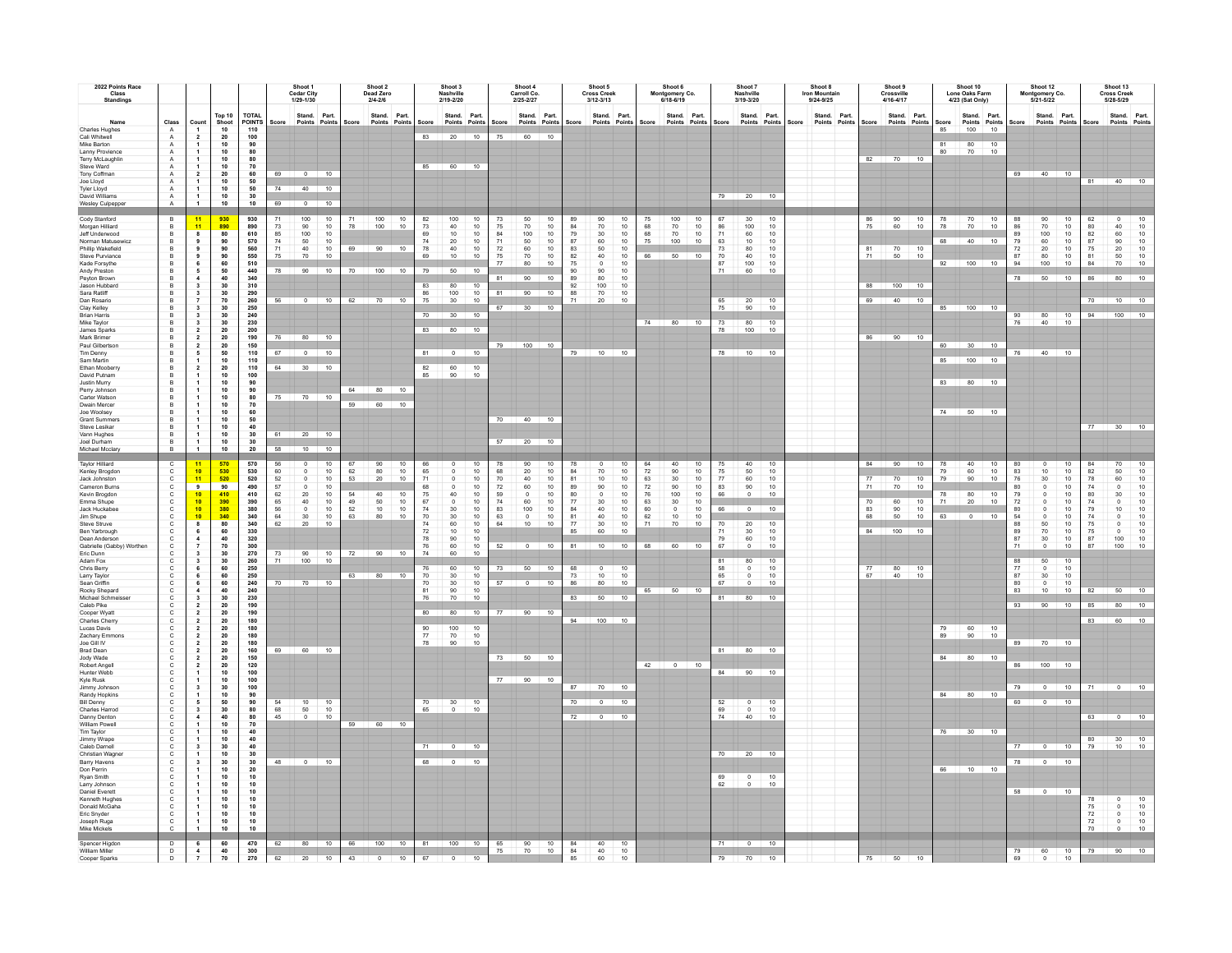| 2022 Points Race<br>Class<br><b>Standings</b>           |                                         | Top 10<br>Shoot<br>Count<br>10                  |                                                                           |                                                                       |                                                      | <b>Cedar City</b><br>1/29-1/30                        |                                                           |                 | Shoot 2<br>Dead Zero<br>$2/4 - 2/6$                 |                                                     |                                               | Shoot 3<br>Nashville<br>2/19-2/20                                                                                  |                                                           |                                              | Carroll Co.<br>2/25-2/27                                            |                       |                                                     | Shoot 5<br><b>Cross Creek</b><br>$3/12 - 3/13$                             |                                                        |                                                     | Shoot 6<br>Montgomery Co.<br>6/18-6/19                    |                                                                 |                                               | Shoot 7<br>Nashville<br>3/19-3/20                    |                                         |       | Shoot 8<br>Iron Mountain<br>9/24-9/25 |       |                 | Shoot 9<br>Crossville<br>4/16-4/17            |                                                                |                                         | Shoot 10<br>Lone Oaks Farm<br>4/23 (Sat Only) |                 |                                               | Shoot 12<br>Montgomery Co.<br>5/21-5/22 |                                                                       |                                        | Shoot 13<br><b>Cross Creek</b><br>5/28-5/29                                                                |                                                                                             |
|---------------------------------------------------------|-----------------------------------------|-------------------------------------------------|---------------------------------------------------------------------------|-----------------------------------------------------------------------|------------------------------------------------------|-------------------------------------------------------|-----------------------------------------------------------|-----------------|-----------------------------------------------------|-----------------------------------------------------|-----------------------------------------------|--------------------------------------------------------------------------------------------------------------------|-----------------------------------------------------------|----------------------------------------------|---------------------------------------------------------------------|-----------------------|-----------------------------------------------------|----------------------------------------------------------------------------|--------------------------------------------------------|-----------------------------------------------------|-----------------------------------------------------------|-----------------------------------------------------------------|-----------------------------------------------|------------------------------------------------------|-----------------------------------------|-------|---------------------------------------|-------|-----------------|-----------------------------------------------|----------------------------------------------------------------|-----------------------------------------|-----------------------------------------------|-----------------|-----------------------------------------------|-----------------------------------------|-----------------------------------------------------------------------|----------------------------------------|------------------------------------------------------------------------------------------------------------|---------------------------------------------------------------------------------------------|
| Name                                                    | Class                                   |                                                 |                                                                           | <b>TOTAL</b><br>POINTS                                                | Score                                                | Stand. Part.<br>Points Points                         |                                                           | Score           | Stand. Part.<br>Points Points                       |                                                     | Score                                         | Stand. Part.<br>Points Points                                                                                      |                                                           | Score                                        | Stand. Part.<br>Points Points                                       |                       | Score                                               | Stand. Part.<br>Points Points                                              |                                                        | Score                                               | Stand. Part.<br>Points Points                             |                                                                 | Score                                         | Stand. Part.<br>Points Points                        |                                         | Score | Stand.<br>Points Points               | Part. | Score           | Stand. Part.<br>Points Points                 |                                                                | Score                                   | Stand. Part.<br>Points Points                 |                 | Score                                         | Stand. Part.<br>Points Points           |                                                                       | Score                                  | Stand. Part.<br>Points Points                                                                              |                                                                                             |
| Charles Hughes<br>Cali Whitwell<br>Mike Barton          | $\overline{A}$<br>$\frac{A}{A}$         | $\overline{\mathbf{2}}$                         | $\begin{array}{c} 20 \\ 10 \end{array}$                                   | 110<br>100<br>90                                                      |                                                      |                                                       |                                                           |                 |                                                     |                                                     | $\overline{83}$                               | 20                                                                                                                 | $\overline{10}$                                           | 75                                           | 60                                                                  | $\overline{10}$       |                                                     |                                                                            |                                                        |                                                     |                                                           |                                                                 |                                               |                                                      |                                         |       |                                       |       |                 |                                               |                                                                | 85                                      | 100                                           | 10              |                                               |                                         |                                                                       |                                        |                                                                                                            |                                                                                             |
| Lanny Provience<br>Terry McLaughlin                     | $\mathsf A$<br>$\mathsf A$              | $\overline{1}$                                  | $10$<br>$10\,$                                                            | 80<br>80                                                              |                                                      |                                                       |                                                           |                 |                                                     |                                                     |                                               |                                                                                                                    |                                                           |                                              |                                                                     |                       |                                                     |                                                                            |                                                        |                                                     |                                                           |                                                                 |                                               |                                                      |                                         |       |                                       |       |                 | 82 70 10                                      |                                                                | $\begin{array}{c} 81 \\ 80 \end{array}$ | $\begin{array}{r} 80 \\ 70 \end{array}$       | $\frac{10}{10}$ |                                               |                                         |                                                                       |                                        |                                                                                                            |                                                                                             |
| Steve Ward<br>Tony Coffman                              | A                                       | $\frac{1}{2}$                                   | $\frac{10}{20}$                                                           | $\frac{70}{60}$                                                       | 69                                                   | $\overline{\phantom{0}}$                              | 10                                                        |                 |                                                     |                                                     |                                               | 85 60 10                                                                                                           |                                                           |                                              |                                                                     |                       |                                                     |                                                                            |                                                        |                                                     |                                                           |                                                                 |                                               |                                                      |                                         |       |                                       |       |                 |                                               |                                                                |                                         |                                               |                 |                                               | 69 40 10                                |                                                                       |                                        |                                                                                                            |                                                                                             |
| Joe Llovd<br><b>Tyler Lloyd</b>                         | $\begin{array}{c}\nA \\ A\n\end{array}$ | $\frac{1}{1}$                                   | $\begin{array}{c} 10 \\ 10 \end{array}$                                   | $\begin{array}{c} 50 \\ 50 \end{array}$                               | 74                                                   | 40                                                    | 10                                                        |                 |                                                     |                                                     |                                               |                                                                                                                    |                                                           |                                              |                                                                     |                       |                                                     |                                                                            |                                                        |                                                     |                                                           |                                                                 |                                               |                                                      |                                         |       |                                       |       |                 |                                               |                                                                |                                         |                                               |                 |                                               |                                         |                                                                       | 81                                     | 40 10                                                                                                      |                                                                                             |
| David Williams<br><b>Wesley Culpeppe</b>                | $\frac{A}{A}$                           | $\frac{1}{4}$                                   | $\begin{array}{c} 10 \\ 10 \end{array}$                                   | $\begin{array}{c} 30 \\ 10 \end{array}$                               | 69                                                   | $\overline{0}$                                        | $\overline{10}$                                           |                 |                                                     |                                                     |                                               |                                                                                                                    |                                                           |                                              |                                                                     |                       |                                                     |                                                                            |                                                        |                                                     |                                                           |                                                                 |                                               | 79 20 10                                             |                                         |       |                                       |       |                 |                                               |                                                                |                                         |                                               |                 |                                               |                                         |                                                                       |                                        |                                                                                                            |                                                                                             |
| Cody Stanford                                           | $\mathbf{B}$                            | $\frac{11}{11}$                                 | $\begin{array}{r} \hline \textbf{930} \\ \textbf{890} \end{array}$        | 930                                                                   | 71                                                   |                                                       |                                                           | 71              | $\frac{100}{100}$                                   | $\frac{10}{10}$                                     |                                               |                                                                                                                    | 10                                                        |                                              |                                                                     | 10                    | 89                                                  |                                                                            | $10\,$                                                 |                                                     |                                                           |                                                                 |                                               |                                                      |                                         |       |                                       |       | $\frac{86}{75}$ |                                               | $\begin{array}{c cc}\n90 & 10 \\ \hline\n60 & 10\n\end{array}$ | $\frac{78}{78}$                         | $\frac{70}{70}$                               | $\frac{10}{10}$ |                                               |                                         |                                                                       |                                        |                                                                                                            |                                                                                             |
| Morgan Hilliard<br>Jeff Underwood                       | B<br>B<br>B                             | $\overline{\mathbf{8}}$<br>$\overline{9}$       |                                                                           | 890<br>610<br>570                                                     | $\begin{array}{c} 73 \\ 85 \end{array}$<br>74        | $\begin{array}{c} 100 \\ 90 \\ 100 \end{array}$<br>50 | $\frac{10}{10}$<br>10                                     | 78              |                                                     |                                                     | 82<br>73<br>69                                | $\begin{array}{c} 100 \\ 40 \\ 10 \end{array}$                                                                     | $\begin{array}{c} 10 \\ 10 \end{array}$                   | 73<br>75<br>84<br>71<br>72<br>75<br>77       | $\frac{50}{70}$<br>100                                              | $\frac{10}{10}$<br>10 | $\frac{84}{79}$<br>87                               | $\begin{array}{r} 90 \\ 70 \\ 30 \\ 60 \\ 50 \\ 40 \\ 0 \end{array}$       | $\begin{array}{c} 10 \\ 10 \end{array}$<br>10          | $\begin{array}{r} 75 \\ 68 \\ 68 \end{array}$<br>75 | 100<br>70<br>70<br>100                                    | $\begin{array}{c} 10 \\ 10 \\ 10 \\ 10 \\ 10 \end{array}$       | 67<br>86<br>71<br>63<br>73<br>70<br>87        | $\begin{array}{c} 30 \\ 100 \\ 60 \\ 10 \end{array}$ | $\frac{10}{10}$<br>10                   |       |                                       |       |                 |                                               |                                                                |                                         |                                               | 10              | 88<br>86<br>89<br>79                          | $\frac{90}{70}$<br>100                  | $\begin{array}{c} 10 \\ 10 \\ 10 \\ 10 \\ 10 \\ 10 \\ 10 \end{array}$ | 62<br>80<br>82<br>87<br>75<br>81<br>84 | $\begin{array}{c} 0 \\ 40 \\ 60 \\ 90 \\ 20 \\ 50 \\ 70 \end{array}$                                       | $\begin{array}{c} 10 \\ 10 \\ 10 \\ 10 \\ 10 \\ 10 \\ 10 \end{array}$                       |
| Norman Matusewicz<br>Phillip Wakefield                  | $\,$ B<br>$\overline{B}$                | 9                                               |                                                                           |                                                                       | 71                                                   | 40<br>70                                              | 10<br>10                                                  | 69              | 90                                                  | 10                                                  | $\frac{74}{78}$                               | $\frac{20}{40}$<br>10                                                                                              | $\frac{10}{10}$                                           |                                              | $\frac{50}{60}$                                                     | 10                    | 83                                                  |                                                                            | 10                                                     | 66                                                  | 50                                                        | 10                                                              |                                               | 80                                                   | 10                                      |       |                                       |       | 81<br>71        | $\begin{array}{c} 70 \\ 50 \end{array}$       | $\frac{10}{10}$                                                | 68                                      | 40                                            |                 | $\begin{array}{r} 72 \\ 87 \\ 94 \end{array}$ | $\begin{array}{c} 60 \\ 20 \end{array}$ |                                                                       |                                        |                                                                                                            |                                                                                             |
| Steve Purviance<br>Kade Forsythe                        | в                                       | $\begin{array}{c} 9 \\ 6 \end{array}$           |                                                                           |                                                                       | 75                                                   | 78 90 10                                              |                                                           | 70              | $100$ 10                                            |                                                     |                                               | $50 \t 10$                                                                                                         |                                                           |                                              | $\frac{70}{80}$                                                     | $10$<br>$10$          | $\frac{82}{75}$                                     |                                                                            | $10$<br>10<br>10                                       |                                                     |                                                           |                                                                 | 71                                            | $\frac{40}{100}$<br>60                               | $\frac{10}{10}$                         |       |                                       |       |                 |                                               |                                                                |                                         | 92 100 10                                     |                 |                                               | $\frac{80}{100}$                        |                                                                       |                                        |                                                                                                            |                                                                                             |
| Andy Preston<br>Peyton Brown<br>Jason Hubbard           | $\,$ B<br>B<br>B.                       | $5\phantom{.0}$<br>$\overline{4}$               |                                                                           | 560<br>550<br>510<br>440<br>340<br>310<br>290                         |                                                      |                                                       |                                                           |                 |                                                     |                                                     | 79                                            |                                                                                                                    |                                                           | 81                                           | 90                                                                  | 10                    | 90                                                  |                                                                            | 10                                                     |                                                     |                                                           |                                                                 |                                               |                                                      |                                         |       |                                       |       |                 |                                               |                                                                |                                         |                                               |                 | 78                                            | $50$ 10                                 |                                                                       | 86                                     | $80 \t 10$                                                                                                 |                                                                                             |
| Sara Ratliff<br>Dan Rosario                             | $\overline{B}$                          | $\frac{3}{3}$<br>$\scriptstyle\rm 7$            | 80<br>90<br>90<br>90<br>60<br>50<br>40<br>30<br>30<br>70                  |                                                                       | 56                                                   | $\overline{0}$                                        | 10                                                        | 62              | 70                                                  | 10                                                  | $\begin{array}{r} 83 \\ 86 \\ 75 \end{array}$ | $\frac{80}{100}$<br>30 <sub>2</sub>                                                                                | $\frac{10}{10}$<br>10                                     | 81                                           | 90                                                                  | 10                    | $\begin{array}{r} 89 \\ 92 \\ 88 \end{array}$<br>71 | $\begin{array}{r}\n 90 \\  80 \\  100 \\  70 \\  20\n \end{array}$         | $\frac{10}{10}$<br>10                                  |                                                     |                                                           |                                                                 |                                               | 20                                                   | 10                                      |       |                                       |       | 69              | 88 100 10<br>40                               | 10                                                             |                                         |                                               |                 |                                               |                                         |                                                                       | 70                                     | $10 \qquad 10$                                                                                             |                                                                                             |
| Clay Kelley                                             |                                         | $\overline{\mathbf{3}}$                         |                                                                           | 260<br>250                                                            |                                                      |                                                       |                                                           |                 |                                                     |                                                     |                                               |                                                                                                                    |                                                           | 67                                           | 30 10                                                               |                       |                                                     |                                                                            |                                                        |                                                     |                                                           |                                                                 | 65<br>75                                      | 90                                                   | 10                                      |       |                                       |       |                 |                                               |                                                                |                                         | 85 100 10                                     |                 |                                               |                                         |                                                                       |                                        |                                                                                                            |                                                                                             |
| <b>Brian Harris</b><br>Mike Taylor<br>James Sparks      | B<br>$\overline{B}$                     | $\mathbf 3$<br>$\overline{\mathbf{3}}$          |                                                                           |                                                                       |                                                      |                                                       |                                                           |                 |                                                     |                                                     | 70                                            | $\begin{array}{ c c c c c } \hline \rule{0.2cm}{0.2cm} & 30 & \hspace{0.2cm} 10 \\ \hline \end{array}$<br>83 80 10 |                                                           |                                              |                                                                     |                       |                                                     |                                                                            |                                                        |                                                     | 74 80 10                                                  |                                                                 | $\frac{73}{78}$                               | $\frac{80}{100}$                                     | $\frac{10}{10}$                         |       |                                       |       |                 |                                               |                                                                |                                         |                                               |                 | $\frac{90}{76}$                               | $\frac{80}{40}$                         | $\frac{10}{10}$                                                       | 94                                     | 100 10                                                                                                     |                                                                                             |
| Mark Brimer<br>Paul Gilbertson                          | B.<br>B                                 | $\overline{\mathbf{2}}$<br>$\frac{2}{2}$        |                                                                           | 240<br>230<br>200<br>190<br>150<br>110                                |                                                      | 76 80 10                                              |                                                           |                 |                                                     |                                                     |                                               |                                                                                                                    |                                                           |                                              | 79 100 10                                                           |                       |                                                     |                                                                            |                                                        |                                                     |                                                           |                                                                 |                                               |                                                      |                                         |       |                                       |       |                 | 86 90 10                                      |                                                                |                                         | 60 30 10                                      |                 |                                               |                                         |                                                                       |                                        |                                                                                                            |                                                                                             |
| Tim Denny<br>Sam Martin                                 | $\overline{B}$                          | $\sqrt{5}$<br>$\overline{1}$                    | 30<br>30<br>30<br>20<br>20<br>20<br>50<br>50                              | 110                                                                   |                                                      | $\overline{\phantom{a}}$                              | 10                                                        |                 |                                                     |                                                     | 81                                            | $\overline{0}$                                                                                                     | 10                                                        |                                              |                                                                     |                       | 79                                                  | 10                                                                         | $\overline{10}$                                        |                                                     |                                                           |                                                                 | 78                                            | 10                                                   | 10                                      |       |                                       |       |                 |                                               |                                                                |                                         | 85 100 10                                     |                 | 76                                            | 40                                      | 10                                                                    |                                        |                                                                                                            |                                                                                             |
| Ethan Mooberry<br>David Putnam                          |                                         | $\overline{\mathbf{2}}$                         | $\begin{array}{c} 20 \\ 10 \\ 10 \end{array}$                             | $110$<br>$100\,$                                                      |                                                      | 64 30 10                                              |                                                           |                 |                                                     |                                                     | $\frac{82}{85}$                               | $\begin{array}{c} 60 \\ 90 \end{array}$                                                                            | $\frac{10}{10}$                                           |                                              |                                                                     |                       |                                                     |                                                                            |                                                        |                                                     |                                                           |                                                                 |                                               |                                                      |                                         |       |                                       |       |                 |                                               |                                                                |                                         |                                               |                 |                                               |                                         |                                                                       |                                        |                                                                                                            |                                                                                             |
| <b>Justin Murry</b><br>Perry Johnson                    | $\overline{B}$<br>B                     | $\overline{1}$                                  |                                                                           | $90$<br>$90$<br>$80$<br>$70$<br>$60$                                  |                                                      |                                                       |                                                           | 64              | $80$ 10                                             |                                                     |                                               |                                                                                                                    |                                                           |                                              |                                                                     |                       |                                                     |                                                                            |                                                        |                                                     |                                                           |                                                                 |                                               |                                                      |                                         |       |                                       |       |                 |                                               |                                                                |                                         | 83 80 10                                      |                 |                                               |                                         |                                                                       |                                        |                                                                                                            |                                                                                             |
| Carter Watson<br>Dwain Mercer                           | B<br>B                                  | $\mathbf{1}$                                    | $\frac{10}{10}$<br>$\frac{10}{10}$                                        |                                                                       |                                                      | 75 70 10                                              |                                                           | 59              | 60                                                  | 10                                                  |                                               |                                                                                                                    |                                                           |                                              |                                                                     |                       |                                                     |                                                                            |                                                        |                                                     |                                                           |                                                                 |                                               |                                                      |                                         |       |                                       |       |                 |                                               |                                                                |                                         |                                               |                 |                                               |                                         |                                                                       |                                        |                                                                                                            |                                                                                             |
| Joe Woolsey<br>Grant Summers                            |                                         |                                                 | $10$                                                                      | 50                                                                    |                                                      |                                                       |                                                           |                 |                                                     |                                                     |                                               |                                                                                                                    |                                                           |                                              | 70 40 10                                                            |                       |                                                     |                                                                            |                                                        |                                                     |                                                           |                                                                 |                                               |                                                      |                                         |       |                                       |       |                 |                                               |                                                                | 74                                      | $50$ 10                                       |                 |                                               |                                         |                                                                       |                                        |                                                                                                            |                                                                                             |
| Steve Lesikar<br>Vann Hughes                            | $\,$ B<br>B                             | $\mathbf{1}$<br>$\frac{1}{1}$                   |                                                                           | 40                                                                    |                                                      | 61 20 10                                              |                                                           |                 |                                                     |                                                     |                                               |                                                                                                                    |                                                           |                                              |                                                                     |                       |                                                     |                                                                            |                                                        |                                                     |                                                           |                                                                 |                                               |                                                      |                                         |       |                                       |       |                 |                                               |                                                                |                                         |                                               |                 |                                               |                                         |                                                                       |                                        | 77 30 10                                                                                                   |                                                                                             |
| Joel Durham<br>Michael Mcclary                          | в<br>$\mathsf B$                        | $\blacktriangleleft$                            | $\begin{array}{c} 10 \\ 10 \\ 10 \\ 10 \\ 10 \end{array}$                 | $\begin{array}{c} 30 \\ 30 \\ 20 \end{array}$                         | 58                                                   | 10                                                    | 10                                                        |                 |                                                     |                                                     |                                               |                                                                                                                    |                                                           |                                              | 57 20 10                                                            |                       |                                                     |                                                                            |                                                        |                                                     |                                                           |                                                                 |                                               |                                                      |                                         |       |                                       |       |                 |                                               |                                                                |                                         |                                               |                 |                                               |                                         |                                                                       |                                        |                                                                                                            |                                                                                             |
| <b>Taylor Hilliard</b>                                  | $\mathbb C$                             |                                                 | 570                                                                       | 570                                                                   |                                                      |                                                       | 10                                                        |                 | 90                                                  | 10                                                  | 66<br>65                                      |                                                                                                                    |                                                           | 78                                           | 90                                                                  | 10                    | 78                                                  |                                                                            | 10                                                     |                                                     | 40                                                        | 10                                                              | 75                                            | 40                                                   | 10                                      |       |                                       |       | 84              | 90                                            | 10                                                             | 78                                      | 40                                            |                 | 80                                            |                                         | 10                                                                    |                                        | 70                                                                                                         |                                                                                             |
| Kenley Brogdor<br>Jack Johnston                         | $_{\rm c}^{\rm c}$                      | $\begin{array}{c}\n11 \\ 10 \\ 11\n\end{array}$ | 530<br>520<br>90<br>410<br>390<br>380<br>340                              | 530<br>520                                                            | 60<br>$52\,$<br>57                                   | $\overline{0}$                                        | $10\,$<br>$10\,$                                          | 62<br>53        | $_{\rm 80}$<br>20                                   | $10$<br>10                                          | $71\,$                                        |                                                                                                                    | 10<br>10                                                  | 68<br>70<br>72<br>59<br>74<br>83<br>63<br>64 | 20<br>$40\,$                                                        | 10<br>10              | 84<br>81                                            | $70\,$                                                                     | 10<br>$10\,$                                           |                                                     | 90                                                        | $\begin{array}{c} 10 \\ 10 \\ 10 \\ 10 \\ 10 \\ 10 \end{array}$ | $\begin{array}{r} 75 \\ 77 \\ 83 \end{array}$ | $50\,$<br>$60\,$                                     | $10$<br>$\frac{10}{10}$                 |       |                                       |       | 77<br>71        | $\frac{70}{70}$                               | $\frac{10}{10}$                                                | 79<br>79                                | $60\,$<br>90                                  | $\frac{10}{10}$ | $^{\rm 83}$                                   | $10\,$<br>30                            | $10$                                                                  | 84 82 78 74 80 74 79 74 75 75 77 87 87 | $\begin{array}{c} 50 \\ 60 \end{array}$                                                                    | $\begin{array}{c} 10 \\ 10 \\ 10 \\ 10 \\ 10 \\ 10 \\ 10 \\ 10 \\ 10 \\ \hline \end{array}$ |
| Cameron Burns<br>Kevin Brogdon<br>Emma Shupe            | 0000                                    | $\begin{array}{c}\n9 \\ 10 \\ 10\n\end{array}$  |                                                                           | 490<br>410<br>390<br>380<br>380                                       | $\begin{array}{c} 62 \\ 65 \end{array}$              | $\begin{array}{c} 20 \\ 40 \end{array}$               | $10\,$                                                    | $\frac{54}{49}$ |                                                     |                                                     | 68                                            | $^{40}_{\rm 0}$                                                                                                    | 10                                                        |                                              | 60<br>$\begin{array}{c} 0 \\ 60 \end{array}$                        | 10<br>$\frac{10}{10}$ | 89                                                  | $\begin{array}{c} 10 \\ 90 \\ 0 \\ 30 \\ 40 \\ 40 \\ 30 \\ 60 \end{array}$ | $10$                                                   | 63<br>72<br>76<br>63<br>60<br>62<br>71              | $\begin{array}{c} 30 \\ 90 \\ 100 \\ 30 \\ 0 \end{array}$ |                                                                 | 66                                            | 90                                                   | 10                                      |       |                                       |       | 70              |                                               | 10                                                             | $\frac{78}{71}$                         | $\frac{80}{20}$                               | $\frac{10}{10}$ | 76<br>80<br>79<br>72<br>80<br>54              | $\bf 0$                                 | $\begin{array}{c} 10 \\ 10 \\ 10 \\ 10 \\ 10 \\ 10 \\ 10 \end{array}$ |                                        | $\frac{0}{30}$<br>$\frac{0}{10}$                                                                           |                                                                                             |
| Jack Huckabee<br>Jim Shupe                              |                                         | $\frac{10}{10}$                                 |                                                                           |                                                                       | 56<br>64                                             | $\overline{0}$<br>30                                  | $\begin{array}{c} 10 \\ 10 \\ 10 \\ 10 \\ 10 \end{array}$ | $\frac{52}{63}$ | $\begin{array}{r} 40 \\ 50 \\ 10 \end{array}$<br>80 | $\begin{array}{c} 10 \\ 10 \\ 10 \end{array}$<br>10 | 75<br>67<br>74<br>70<br>74<br>72<br>76<br>74  | $\frac{30}{30}$                                                                                                    | $\begin{array}{c} 10 \\ 10 \\ 10 \\ 10 \\ 10 \end{array}$ |                                              | $\begin{array}{c} 100 \\ 0 \end{array}$                             | $\frac{10}{10}$       | 80<br>77<br>84<br>81                                |                                                                            | $\begin{array}{c} 10 \\ 10 \\ 10 \\ 10 \\ \end{array}$ |                                                     | 10                                                        | $\frac{10}{10}$                                                 | 66                                            | $\overline{0}$                                       | 10                                      |       |                                       |       | 83<br>68        | $\begin{array}{c} 60 \\ 90 \\ 50 \end{array}$ | 10<br>10                                                       | 63                                      |                                               | 10              |                                               |                                         |                                                                       |                                        |                                                                                                            |                                                                                             |
| Steve Struve<br>Ben Yarbrough                           | $_{\rm c}^{\rm c}$                      | $\frac{8}{6}$                                   | $\begin{array}{c} 80 \\ 60 \end{array}$                                   | 340<br>330                                                            | 62                                                   | 20                                                    | 10                                                        |                 |                                                     |                                                     |                                               | 60<br>10                                                                                                           | $\frac{10}{10}$                                           |                                              | 10                                                                  |                       | $77$<br>85                                          |                                                                            | $\frac{10}{10}$                                        |                                                     | 70                                                        |                                                                 | $\frac{70}{71}$                               | 20<br>30                                             | $\begin{array}{c} 10 \\ 10 \end{array}$ |       |                                       |       | R4              | $100 - 10$                                    |                                                                |                                         |                                               |                 |                                               | $\begin{array}{c} 50 \\ 70 \end{array}$ |                                                                       |                                        | $\,$ 0 $\,$                                                                                                |                                                                                             |
| Dean Anderson<br>Gabrielle (Gabby) Worthen              | $\mathbf{C}$<br>$\mathbb{C}$            | $\frac{4}{7}$                                   |                                                                           |                                                                       |                                                      |                                                       |                                                           |                 |                                                     |                                                     |                                               | $\frac{90}{60}$                                                                                                    | $\frac{10}{10}$                                           | 52                                           |                                                                     |                       | 81                                                  | 10 10                                                                      |                                                        |                                                     | 68 60 10                                                  |                                                                 | $\frac{79}{67}$                               | 60<br>$\Omega$                                       | $\frac{10}{10}$                         |       |                                       |       |                 |                                               |                                                                |                                         |                                               |                 | 88<br>89<br>87<br>71                          | 30<br>$\Omega$                          | $\frac{10}{10}$<br>$\frac{10}{10}$                                    |                                        | $\frac{100}{100}$                                                                                          |                                                                                             |
| Eric Dunn<br>Adam Fox                                   | $_{\rm c}^{\rm c}$                      | $\begin{array}{c} 3 \\ 3 \\ 6 \end{array}$      | $\begin{array}{r} 40 \\ 70 \\ 30 \\ 30 \\ 60 \\ 60 \\ \hline \end{array}$ | 320<br>320<br>300<br>270<br>260<br>250                                | 73<br>71                                             | $\frac{90}{100}$                                      | $\frac{10}{10}$                                           |                 | 72 90 10                                            |                                                     |                                               | 60                                                                                                                 | 10                                                        |                                              |                                                                     |                       |                                                     |                                                                            |                                                        |                                                     |                                                           |                                                                 | 81                                            |                                                      | 10                                      |       |                                       |       |                 |                                               |                                                                |                                         |                                               |                 | 88                                            |                                         | 10                                                                    |                                        |                                                                                                            |                                                                                             |
| Chris Berry<br>Larry Taylor                             | $\mathbb{C}$<br>$\mathbb{C}$            | $\mathbf{6}^-$                                  |                                                                           | 250                                                                   |                                                      |                                                       |                                                           | 63              | 80 10                                               |                                                     | 76<br>70                                      | $\frac{60}{30}$                                                                                                    | 10<br>10                                                  | 73                                           | 50                                                                  | 10                    | 68<br>73                                            | $\circ$<br>10                                                              | 10<br>10                                               |                                                     |                                                           |                                                                 | 58<br>65                                      | $_{0}^{80}$<br>$\overline{0}$                        | 10<br>10                                |       |                                       |       | $\frac{77}{67}$ | $\begin{array}{c} 80 \\ 40 \end{array}$       | $\frac{10}{10}$                                                |                                         |                                               |                 | $77\,$<br>87                                  | $\frac{50}{0}$<br>30                    | 10<br>10                                                              |                                        |                                                                                                            |                                                                                             |
| Sean Griffin<br>Rocky Shepard                           |                                         | $\begin{array}{c} 6 \\ 4 \end{array}$           | 60<br>40                                                                  | 240<br>240<br>230<br>190<br>190<br>190                                |                                                      | 70 70 10                                              |                                                           |                 |                                                     |                                                     | 70<br>81                                      | $\frac{30}{90}$                                                                                                    | 10<br>$10\,$                                              | 57                                           | $\sqrt{2}$                                                          | 10                    |                                                     | 80                                                                         | 10                                                     |                                                     | 65 50 10                                                  |                                                                 | 67                                            |                                                      | 10                                      |       |                                       |       |                 |                                               |                                                                |                                         |                                               |                 | $\begin{array}{c} 80 \\ 83 \end{array}$       | $\frac{0}{10}$                          | $\frac{10}{10}$                                                       | 82                                     | 50                                                                                                         | 10                                                                                          |
| Michael Schmeisse<br>Caleb Pike                         |                                         | $\frac{3}{2}$                                   |                                                                           |                                                                       |                                                      |                                                       |                                                           |                 |                                                     |                                                     | 76                                            | 70                                                                                                                 | $10 -$                                                    |                                              |                                                                     |                       |                                                     | 83 50 10                                                                   |                                                        |                                                     |                                                           |                                                                 |                                               | 81 80 10                                             |                                         |       |                                       |       |                 |                                               |                                                                |                                         |                                               |                 |                                               | $93$ $90$ $10$                          |                                                                       | 85                                     | 80 10                                                                                                      |                                                                                             |
| Cooper Wyat<br>Charles Cherry                           | ooooo                                   |                                                 | $\frac{30}{20}$<br>$\frac{20}{20}$                                        |                                                                       |                                                      |                                                       |                                                           |                 |                                                     |                                                     | 80                                            | 80                                                                                                                 | 10                                                        | 77                                           | $\begin{array}{ c c c c c c } \hline 90 & 10 \\ \hline \end{array}$ |                       | 94                                                  | 100 10                                                                     |                                                        |                                                     |                                                           |                                                                 |                                               |                                                      |                                         |       |                                       |       |                 |                                               |                                                                |                                         |                                               |                 |                                               |                                         |                                                                       | 83                                     | 60                                                                                                         | 10                                                                                          |
| Lucas Davis<br>Zachary Emmon                            | $_{\rm c}^{\rm c}$                      | $\begin{array}{c} 2 \\ 2 \\ 2 \\ 2 \end{array}$ | $\begin{array}{c} 20 \\ 20 \end{array}$                                   | 180<br>180                                                            |                                                      |                                                       |                                                           |                 |                                                     |                                                     | 90<br>$77\,$                                  | 100<br>$\frac{70}{90}$                                                                                             | 10<br>10                                                  |                                              |                                                                     |                       |                                                     |                                                                            |                                                        |                                                     |                                                           |                                                                 |                                               |                                                      |                                         |       |                                       |       |                 |                                               |                                                                | $\frac{79}{89}$                         | $\begin{array}{c} 60 \\ 90 \end{array}$       | $\frac{10}{10}$ |                                               |                                         |                                                                       |                                        |                                                                                                            |                                                                                             |
| Joe Gill IV<br><b>Brad Dean</b>                         | $_{\rm c}^{\rm c}$                      | $\frac{2}{2}$                                   |                                                                           | $\begin{array}{r} 180 \\ 160 \\ 150 \\ 120 \\ 100 \\ 100 \end{array}$ |                                                      | 69 60 10                                              |                                                           |                 |                                                     |                                                     | 78                                            |                                                                                                                    | 10                                                        |                                              |                                                                     |                       |                                                     |                                                                            |                                                        |                                                     |                                                           |                                                                 |                                               | 81 80 10                                             |                                         |       |                                       |       |                 |                                               |                                                                |                                         |                                               |                 |                                               | 89 70 10                                |                                                                       |                                        |                                                                                                            |                                                                                             |
| Jody Wade<br>Robert Angel                               | $\frac{1}{2}$                           | $\frac{2}{2}$                                   | 20<br>20<br>20<br>20<br>10<br>10                                          |                                                                       |                                                      |                                                       |                                                           |                 |                                                     |                                                     |                                               |                                                                                                                    |                                                           |                                              | 73 50 10                                                            |                       |                                                     |                                                                            |                                                        |                                                     | $42 \t\t 0 \t\t 10$                                       |                                                                 |                                               |                                                      |                                         |       |                                       |       |                 |                                               |                                                                |                                         | 84 80 10                                      |                 |                                               | 86 100 10                               |                                                                       |                                        |                                                                                                            |                                                                                             |
| <b>Hunter Webb</b><br>Kyle Rusk                         |                                         | $\mathbf{1}$                                    |                                                                           |                                                                       |                                                      |                                                       |                                                           |                 |                                                     |                                                     |                                               |                                                                                                                    |                                                           |                                              | 77 90 10                                                            |                       |                                                     |                                                                            |                                                        |                                                     |                                                           |                                                                 |                                               | 84 90                                                | 10                                      |       |                                       |       |                 |                                               |                                                                |                                         |                                               |                 |                                               |                                         |                                                                       |                                        |                                                                                                            |                                                                                             |
| Jimmy Johnson<br>Randy Hopkins                          | $\mathbf{C}$<br>$\mathtt{C}$            | $\overline{\mathbf{3}}$                         | 30<br>$10$                                                                | 100<br>90                                                             |                                                      |                                                       |                                                           |                 |                                                     |                                                     |                                               |                                                                                                                    |                                                           |                                              |                                                                     |                       |                                                     | 87 70 10                                                                   |                                                        |                                                     |                                                           |                                                                 |                                               |                                                      |                                         |       |                                       |       |                 |                                               |                                                                |                                         | 84 80 10                                      |                 |                                               | 79 0 10                                 |                                                                       |                                        | $71$ 0 10                                                                                                  |                                                                                             |
| <b>Bill Denny</b><br>Charles Harrod                     | 0 <sub>0</sub>                          | $\frac{5}{3}$                                   | 50<br>30<br>40<br>40                                                      | 90<br>80<br>80<br>70                                                  | $\begin{array}{r} 54 \\ 68 \\ \hline 45 \end{array}$ | $\begin{array}{c} 10 \\ 50 \\ 0 \end{array}$          | $\begin{array}{c} 10 \\ 10 \\ 10 \end{array}$             |                 |                                                     |                                                     | $\frac{70}{65}$                               | $\frac{30}{0}$ 10                                                                                                  |                                                           |                                              |                                                                     |                       | 70                                                  | $\overline{\phantom{0}}$                                                   | 10                                                     |                                                     |                                                           |                                                                 | $\begin{array}{r} 52 \\ 69 \\ 74 \end{array}$ | $\begin{matrix} 0 \\ 0 \\ 40 \end{matrix}$           | $\frac{10}{10}$                         |       |                                       |       |                 |                                               |                                                                |                                         |                                               |                 |                                               | 60 0 10                                 |                                                                       |                                        |                                                                                                            |                                                                                             |
| Danny Denton<br>William Powell                          |                                         | $\overline{\phantom{a}}$<br>$\overline{1}$      |                                                                           |                                                                       |                                                      |                                                       |                                                           | 59              | 60 10                                               |                                                     |                                               |                                                                                                                    |                                                           |                                              |                                                                     |                       | 72                                                  | $\sim$ 0                                                                   | 10                                                     |                                                     |                                                           |                                                                 |                                               |                                                      |                                         |       |                                       |       |                 |                                               |                                                                |                                         |                                               |                 |                                               |                                         |                                                                       | 63                                     | $\begin{array}{ c c c c c c c c c } \hline \multicolumn{1}{ c }{0} & \multicolumn{1}{ c }{10} \end{array}$ |                                                                                             |
| Tim Taylor<br>Jimmy Wrape                               | $\frac{c}{c}$                           | $\frac{1}{1}$                                   | $\frac{10}{10}$                                                           | $\frac{40}{40}$                                                       |                                                      |                                                       |                                                           |                 |                                                     |                                                     |                                               |                                                                                                                    |                                                           |                                              |                                                                     |                       |                                                     |                                                                            |                                                        |                                                     |                                                           |                                                                 |                                               |                                                      |                                         |       |                                       |       |                 |                                               |                                                                |                                         | 76 30 10                                      |                 |                                               |                                         |                                                                       | $\frac{80}{79}$                        | $\begin{array}{c cc}\n & 30 & 10 \\ \hline\n & 10 & 10\n\end{array}$                                       |                                                                                             |
| Caleb Darnell<br>Christian Wagne<br><b>Barry Havens</b> | $\mathtt{C}$                            | $\mathbf 3$<br>$\overline{\mathbf{3}}$          | 30                                                                        | ${\bf 40}$                                                            | 48                                                   | $0 \t 10$                                             |                                                           |                 |                                                     |                                                     |                                               | $71$ 0 10<br>68 0 10                                                                                               |                                                           |                                              |                                                                     |                       |                                                     |                                                                            |                                                        |                                                     |                                                           |                                                                 |                                               | 70 20 10                                             |                                         |       |                                       |       |                 |                                               |                                                                |                                         |                                               |                 |                                               | $77$ 0 10<br>78 0 10                    |                                                                       |                                        |                                                                                                            |                                                                                             |
| Don Perrin                                              | 0 <sub>0</sub>                          | $\overline{1}$                                  | $\begin{array}{c} 10 \\ 30 \\ 10 \end{array}$<br>10                       | $\begin{array}{r} 30 \\ 30 \\ 20 \end{array}$<br>10                   |                                                      |                                                       |                                                           |                 |                                                     |                                                     |                                               |                                                                                                                    |                                                           |                                              |                                                                     |                       |                                                     |                                                                            |                                                        |                                                     |                                                           |                                                                 |                                               |                                                      |                                         |       |                                       |       |                 |                                               |                                                                |                                         | 66 10 10                                      |                 |                                               |                                         |                                                                       |                                        |                                                                                                            |                                                                                             |
| Ryan Smith<br>Larry Johnson                             | $\frac{c}{c}$                           |                                                 | $\frac{10}{10}$                                                           | $\begin{array}{c} 10 \\ 10 \\ 10 \end{array}$                         |                                                      |                                                       |                                                           |                 |                                                     |                                                     |                                               |                                                                                                                    |                                                           |                                              |                                                                     |                       |                                                     |                                                                            |                                                        |                                                     |                                                           |                                                                 | $\frac{69}{62}$                               | $\frac{0}{0}$                                        | $\frac{10}{10}$                         |       |                                       |       |                 |                                               |                                                                |                                         |                                               |                 | 58                                            | $\overline{\phantom{0}}$                | 10                                                                    |                                        |                                                                                                            |                                                                                             |
| Daniel Everett<br>Kenneth Hughe                         | $_{\rm c}^{\rm c}$                      | $\overline{1}$                                  | $10\,$                                                                    | $10$                                                                  |                                                      |                                                       |                                                           |                 |                                                     |                                                     |                                               |                                                                                                                    |                                                           |                                              |                                                                     |                       |                                                     |                                                                            |                                                        |                                                     |                                                           |                                                                 |                                               |                                                      |                                         |       |                                       |       |                 |                                               |                                                                |                                         |                                               |                 |                                               |                                         |                                                                       |                                        | $\overline{0}$                                                                                             |                                                                                             |
| Donald McGaha<br>Eric Snyder<br>Joseph Ruga             | $\frac{c}{c}$                           | $\frac{1}{1}$                                   | ${\bf 10}$<br>$\frac{10}{10}$                                             | $10$<br>$\frac{10}{10}$                                               |                                                      |                                                       |                                                           |                 |                                                     |                                                     |                                               |                                                                                                                    |                                                           |                                              |                                                                     |                       |                                                     |                                                                            |                                                        |                                                     |                                                           |                                                                 |                                               |                                                      |                                         |       |                                       |       |                 |                                               |                                                                |                                         |                                               |                 |                                               |                                         |                                                                       | 78<br>75<br>72<br>72<br>70             | $\,0\,$<br>$\mathbf{0}$                                                                                    | $10\,$<br>$\frac{10}{10}$                                                                   |
| Mike Mickels                                            |                                         | $\overline{1}$                                  | 10                                                                        | 10                                                                    |                                                      |                                                       |                                                           |                 |                                                     |                                                     |                                               |                                                                                                                    |                                                           |                                              |                                                                     |                       |                                                     |                                                                            |                                                        |                                                     |                                                           |                                                                 |                                               |                                                      |                                         |       |                                       |       |                 |                                               |                                                                |                                         |                                               |                 |                                               |                                         |                                                                       |                                        |                                                                                                            |                                                                                             |
| Spencer Higdon<br>William Miller                        | $\overset{\mathsf{D}}{\mathsf{D}}$      | $\begin{array}{c} 6 \\ 4 \\ 7 \end{array}$      | $60$<br>$40$<br>70                                                        | 470                                                                   | 62                                                   |                                                       |                                                           | 80 10 66        |                                                     |                                                     |                                               | 100 10 81 100 10                                                                                                   |                                                           | $\frac{65}{75}$                              | $\begin{array}{r} 90 \\ 70 \end{array}$                             | $\frac{10}{10}$       | $\frac{84}{84}$                                     | $\frac{40}{40}$                                                            | 10<br>10                                               |                                                     |                                                           |                                                                 |                                               | $71$ 0 10                                            |                                         |       |                                       |       |                 |                                               |                                                                |                                         |                                               |                 |                                               | 60                                      |                                                                       |                                        | 79 90 10                                                                                                   |                                                                                             |
| Cooper Sparks                                           | D                                       |                                                 |                                                                           | $\frac{300}{270}$                                                     | 62                                                   | 20                                                    | $\overline{10}$                                           |                 | 43 0 10 67 0 10                                     |                                                     |                                               |                                                                                                                    |                                                           |                                              |                                                                     |                       |                                                     | 60                                                                         | 10 <sup>°</sup>                                        |                                                     |                                                           |                                                                 |                                               | $79$ $70$ $10$                                       |                                         |       |                                       |       | 75              | 50                                            |                                                                |                                         |                                               |                 | $\frac{79}{69}$                               | $\circ$                                 | $\frac{10}{10}$                                                       |                                        |                                                                                                            |                                                                                             |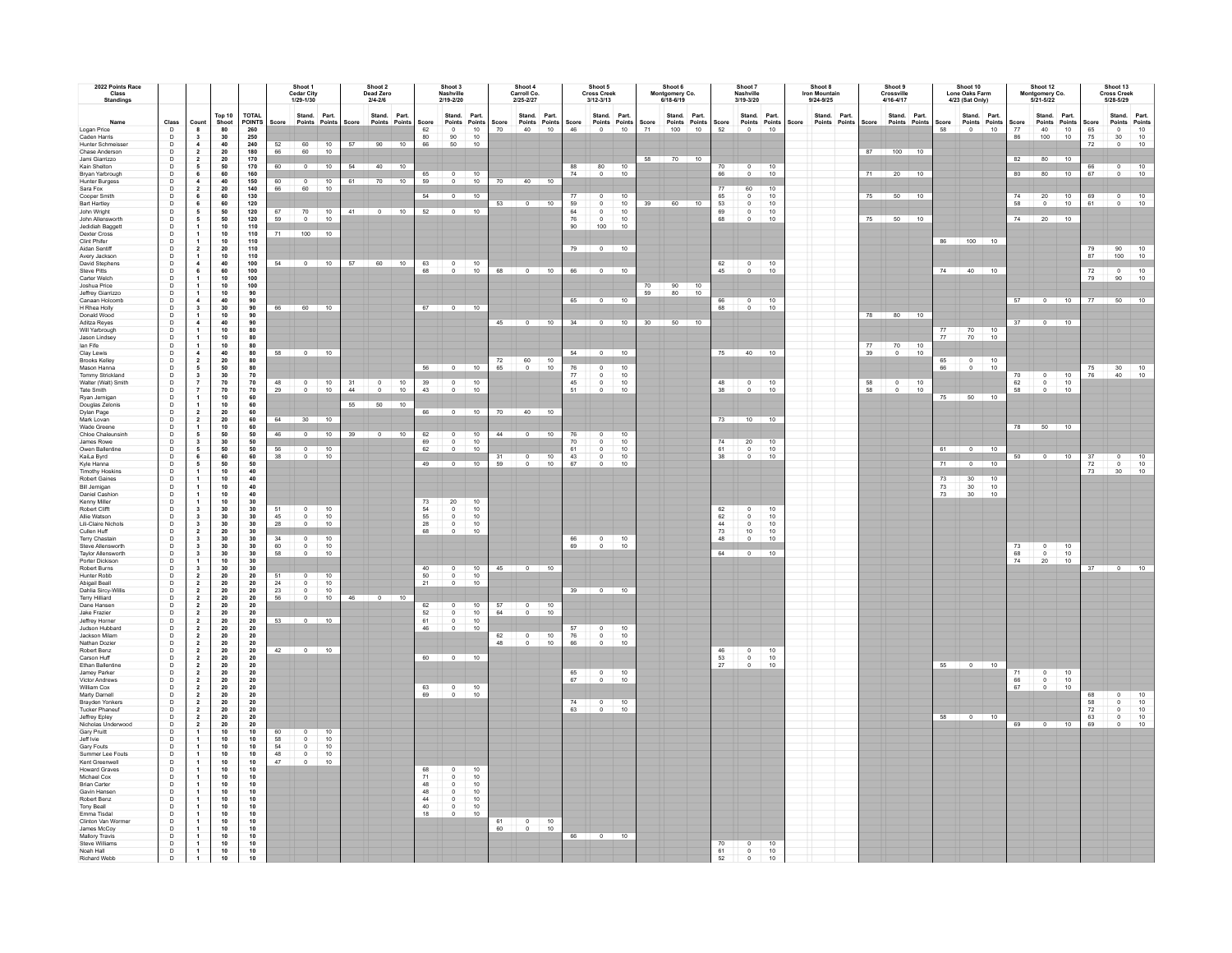| 2022 Points Race<br>Class<br>Standings                 |                                                                       |                                                                       |                                                                                       |                                                                                                                                            |                                                     | Shoot 1<br>Cedar City<br>1/29-1/30      |                                                                 |    | Shoot 2<br>Dead Zero<br>$2/4 - 2/6$                                                   |    |                                                           | Shoot 3<br>Nashville<br>2/19-2/20                                                                                                             |                                                                         |                                                                  | Shoot 4<br>Carroll Co.<br>2/25-2/27                                                      |                 |                                               | Shoot 5<br>Cross Creek<br>3/12-3/13                                             |                                         |       | Shoot 6<br>Montgomery Co.<br>6/18-6/19                                                  |                                                           | Shoot 7<br>Nashville<br>3/19-3/20                                                          |                         |       | Shoot 8<br><b>Iron Mountain</b><br>$9/24 - 9/25$ |       | Shoot 9<br>Crossville<br>4/16-4/17                                                                                       |                               |                                               | Shoot 10<br><b>Lone Oaks Farm</b><br>4/23 (Sat Only)                                                                              |                 |                                                 | Shoot 12<br>Montgomery Co.<br>5/21-5/22                                                                                                       |                                           |                                                                 | Shoot 13<br><b>Cross Creek</b><br>5/28-5/29     |                                                                 |
|--------------------------------------------------------|-----------------------------------------------------------------------|-----------------------------------------------------------------------|---------------------------------------------------------------------------------------|--------------------------------------------------------------------------------------------------------------------------------------------|-----------------------------------------------------|-----------------------------------------|-----------------------------------------------------------------|----|---------------------------------------------------------------------------------------|----|-----------------------------------------------------------|-----------------------------------------------------------------------------------------------------------------------------------------------|-------------------------------------------------------------------------|------------------------------------------------------------------|------------------------------------------------------------------------------------------|-----------------|-----------------------------------------------|---------------------------------------------------------------------------------|-----------------------------------------|-------|-----------------------------------------------------------------------------------------|-----------------------------------------------------------|--------------------------------------------------------------------------------------------|-------------------------|-------|--------------------------------------------------|-------|--------------------------------------------------------------------------------------------------------------------------|-------------------------------|-----------------------------------------------|-----------------------------------------------------------------------------------------------------------------------------------|-----------------|-------------------------------------------------|-----------------------------------------------------------------------------------------------------------------------------------------------|-------------------------------------------|-----------------------------------------------------------------|-------------------------------------------------|-----------------------------------------------------------------|
| Name                                                   | Class                                                                 | Count                                                                 |                                                                                       | <b>TOTAL</b><br>POINTS                                                                                                                     | Score                                               | Stand.                                  | Part.<br>Points Points Score                                    |    | Stand. Part.<br>Points Points                                                         |    | Score                                                     |                                                                                                                                               |                                                                         | Stand. Part.<br>Points Points Score<br>0 10 70<br>90 10<br>50 10 |                                                                                          |                 |                                               | Stand. Part. Stand. Part.<br>Points Points Score Points Points<br>40 10 46 0 10 |                                         | Score | Stand. Part.<br>Points Points<br>100 10                                                 | Score                                                     | Stand. Part.<br>Points Points                                                              |                         | Score | Stand. Part.<br>Points Points                    | Score |                                                                                                                          | Stand. Part.<br>Points Points | Score                                         | $\begin{tabular}{ c c c} \textbf{Stand.} & \textbf{Part.} \\ \textbf{Points} & \textbf{Points} \\ \hline 0 & 10 \\ \end{tabular}$ |                 | Score                                           | $\begin{tabular}{c c c} \textbf{Stand.} & \textbf{Part.} \\ \textbf{Points} & \textbf{Points} \\ \hline 40 & 10 \\ 100 & 10 \\ \end{tabular}$ |                                           |                                                                 |                                                 | Stand. Pari.<br>Points<br>0 10<br>30 10<br>30 10                |
| Logan Price<br>Caden Harris                            | $\mathop{\mathsf{D}}\limits_{\mathsf{D}}$                             | 8<br>$\frac{3}{4}$                                                    |                                                                                       |                                                                                                                                            |                                                     |                                         |                                                                 |    |                                                                                       |    | $\begin{array}{r} 62 \\ 80 \\ 66 \end{array}$             |                                                                                                                                               |                                                                         |                                                                  |                                                                                          |                 |                                               |                                                                                 |                                         | 71    |                                                                                         | 52                                                        | $\overline{0}$                                                                             | 10                      |       |                                                  |       |                                                                                                                          |                               | 58                                            |                                                                                                                                   |                 | $\frac{77}{17}$                                 |                                                                                                                                               |                                           | $\begin{array}{r} \textbf{Score} \\ 65 \\ 75 \\ 72 \end{array}$ |                                                 |                                                                 |
| Hunter Schmeisse<br>Chase Anderson                     | $\mathsf D$<br>$\mathsf D$                                            | $\overline{\mathbf{2}}$                                               |                                                                                       |                                                                                                                                            | 66                                                  | $\begin{array}{c} 60 \\ 60 \end{array}$ | $\frac{10}{10}$                                                 | 57 | 90                                                                                    | 10 |                                                           |                                                                                                                                               |                                                                         |                                                                  |                                                                                          |                 |                                               |                                                                                 |                                         |       |                                                                                         |                                                           |                                                                                            |                         |       |                                                  |       | 87 100 10                                                                                                                |                               |                                               |                                                                                                                                   |                 |                                                 |                                                                                                                                               |                                           |                                                                 |                                                 |                                                                 |
| Jami Giarrizzo<br>Kain Shelton                         | $\mathsf D$                                                           | $\overline{\mathbf{2}}$<br>$\sqrt{5}$                                 |                                                                                       |                                                                                                                                            | 60                                                  |                                         |                                                                 |    | 0 10 54 40 10                                                                         |    |                                                           |                                                                                                                                               |                                                                         |                                                                  |                                                                                          |                 | $\frac{88}{74}$                               | $\begin{array}{c cc}\n & 80 & 10 \\ \hline\n0 & 10\n\end{array}$                |                                         |       | 58 70 10                                                                                | $\frac{70}{66}$                                           | $\begin{array}{c} 0 \\ 0 \end{array}$                                                      | $\frac{10}{10}$         |       |                                                  |       |                                                                                                                          |                               |                                               |                                                                                                                                   |                 |                                                 | 82 80 10                                                                                                                                      |                                           | $\frac{66}{67}$                                                 |                                                 | $\begin{array}{c cc}\n0 & 10 \\ 0 & 10\n\end{array}$            |
| Bryan Yarbrough<br><b>Hunter Burgess</b>               |                                                                       | 6<br>$\overline{4}$                                                   |                                                                                       |                                                                                                                                            | 60                                                  | $\begin{array}{c} 0 \\ 60 \end{array}$  | $\frac{10}{10}$                                                 | 61 | $\overline{70}$ 10                                                                    |    | $\begin{array}{c cc}\n65 & 0 \\ 59 & 0\n\end{array}$      |                                                                                                                                               | $\begin{array}{c} 10 \\ 10 \end{array}$                                 |                                                                  | 70 40 10                                                                                 |                 |                                               |                                                                                 |                                         |       |                                                                                         |                                                           |                                                                                            |                         |       |                                                  |       | $71$ 20 10                                                                                                               |                               |                                               |                                                                                                                                   |                 |                                                 | 80 80 10                                                                                                                                      |                                           |                                                                 |                                                 |                                                                 |
| Sara Fox<br>Cooper Smith                               | $\overline{D}$                                                        | $\mathbf{2}$<br>$\,$ 6                                                |                                                                                       |                                                                                                                                            | 66                                                  |                                         |                                                                 |    |                                                                                       |    | 54                                                        | $\overline{0}$                                                                                                                                | 10                                                                      |                                                                  |                                                                                          |                 |                                               | $\frac{0}{0}$                                                                   | $\begin{array}{c} 10 \\ 10 \end{array}$ |       |                                                                                         |                                                           | 60<br>$\overline{0}$                                                                       | $10$<br>$\frac{10}{10}$ |       |                                                  | 75    | 50                                                                                                                       | 10                            |                                               |                                                                                                                                   |                 | $\frac{74}{58}$                                 | $\frac{20}{0}$                                                                                                                                | $\begin{array}{c}\n10 \\ 10\n\end{array}$ | $\begin{array}{c} 69 \\ 61 \end{array}$                         | $\frac{0}{0}$                                   | $\frac{10}{10}$                                                 |
| <b>Bart Hartley</b><br>John Wright                     |                                                                       |                                                                       |                                                                                       |                                                                                                                                            | $\begin{array}{c} 67 \\ 59 \end{array}$             | 70                                      | $\begin{array}{c} 10 \\ 10 \end{array}$                         |    | 41 0 10 52 0 10                                                                       |    |                                                           |                                                                                                                                               |                                                                         |                                                                  | 53 0 10                                                                                  |                 | 59<br>64                                      | $\circ$                                                                         | $10\,$                                  |       | 39 60 10                                                                                | $\frac{77}{65}$<br>$\frac{65}{69}$<br>$\frac{69}{68}$     | $\overline{0}$<br>$\overline{0}$                                                           | $10\,$                  |       |                                                  |       |                                                                                                                          |                               |                                               |                                                                                                                                   |                 |                                                 |                                                                                                                                               |                                           |                                                                 |                                                 |                                                                 |
| John Allensworth<br>Jedidiah Bagget                    | D<br>D<br>D<br>D<br>D                                                 | 5                                                                     |                                                                                       |                                                                                                                                            | 71                                                  | $\overline{0}$                          | $\overline{10}$                                                 |    |                                                                                       |    |                                                           |                                                                                                                                               |                                                                         |                                                                  |                                                                                          |                 | $\frac{76}{90}$                               | $\begin{array}{c} 0 \\ 100 \end{array}$                                         | $\frac{10}{10}$                         |       |                                                                                         |                                                           | $\Omega$                                                                                   | 10                      |       |                                                  |       | 75 50 10                                                                                                                 |                               |                                               |                                                                                                                                   |                 |                                                 | 74 20 10                                                                                                                                      |                                           |                                                                 |                                                 |                                                                 |
| Dexter Cross<br>Clint Phifer                           |                                                                       |                                                                       |                                                                                       |                                                                                                                                            |                                                     | 100                                     |                                                                 |    |                                                                                       |    |                                                           |                                                                                                                                               |                                                                         |                                                                  |                                                                                          |                 |                                               |                                                                                 |                                         |       |                                                                                         |                                                           |                                                                                            |                         |       |                                                  |       |                                                                                                                          |                               |                                               | 86 100 10                                                                                                                         |                 |                                                 |                                                                                                                                               |                                           |                                                                 |                                                 |                                                                 |
| Aidan Sentiff<br>Avery Jackson                         | $\mathsf D$<br>$\mathsf D$                                            | $\overline{2}$<br>$\overline{1}$                                      |                                                                                       | 110<br>110                                                                                                                                 |                                                     |                                         |                                                                 |    |                                                                                       |    |                                                           |                                                                                                                                               |                                                                         |                                                                  |                                                                                          |                 | 79                                            | $0$ 10                                                                          |                                         |       |                                                                                         |                                                           |                                                                                            |                         |       |                                                  |       |                                                                                                                          |                               |                                               |                                                                                                                                   |                 |                                                 |                                                                                                                                               |                                           | $\frac{79}{87}$                                                 | $\frac{90}{100}$                                | $\begin{array}{c} 10 \\ 10 \end{array}$                         |
| David Stephens<br><b>Steve Pitts</b>                   | D<br>D<br>D<br>D<br>D                                                 | $\begin{array}{c} 4 \\ 6 \end{array}$                                 |                                                                                       |                                                                                                                                            | 54                                                  |                                         |                                                                 |    | $0 \t 10 \t 57 \t 60 \t 10$                                                           |    |                                                           | $\begin{array}{ c c c c c }\n 63 & \hspace{1.5cm} 0 & \hspace{1.5cm} 10 \\  \hline\n 68 & \hspace{1.5cm} 0 & \hspace{1.5cm} 10\n \end{array}$ |                                                                         |                                                                  | 68 0 10                                                                                  |                 |                                               | 66 0 10                                                                         |                                         |       |                                                                                         | $\frac{62}{45}$                                           | $\begin{array}{ c c c }\n\hline\n0 & 0 \\ \hline\n0 & \end{array}$                         | $\frac{10}{10}$         |       |                                                  |       |                                                                                                                          |                               |                                               | 74 40 10                                                                                                                          |                 |                                                 |                                                                                                                                               |                                           | $\frac{72}{79}$                                                 |                                                 | $\begin{array}{c cc}\n0 & 10 \\ 90 & 10\n\end{array}$           |
| Carter Welch<br>Joshua Price                           |                                                                       | $\frac{1}{1}$                                                         |                                                                                       |                                                                                                                                            |                                                     |                                         |                                                                 |    |                                                                                       |    |                                                           |                                                                                                                                               |                                                                         |                                                                  |                                                                                          |                 |                                               |                                                                                 |                                         |       | $\begin{array}{ c c c c }\n\hline\n70 & 90 & 10 \\ 59 & 80 & 10 \\ \hline\n\end{array}$ |                                                           |                                                                                            |                         |       |                                                  |       |                                                                                                                          |                               |                                               |                                                                                                                                   |                 |                                                 |                                                                                                                                               |                                           |                                                                 |                                                 |                                                                 |
| Jeffrey Giarrizzo<br>Canaan Holcomi                    | $_{\rm D}^{\rm D}$                                                    | $\overline{\mathbf{4}}$                                               |                                                                                       |                                                                                                                                            |                                                     |                                         |                                                                 |    |                                                                                       |    |                                                           |                                                                                                                                               |                                                                         |                                                                  |                                                                                          |                 | 65                                            | $0 \t 10$                                                                       |                                         |       |                                                                                         |                                                           | $\begin{array}{ c c c c c }\hline 66 & 0 & 10 \\ \hline 68 & 0 & 10 \\ \hline \end{array}$ |                         |       |                                                  |       |                                                                                                                          |                               |                                               |                                                                                                                                   |                 | 57                                              |                                                                                                                                               |                                           |                                                                 | 0 10 77 50 10                                   |                                                                 |
| H Rhea Holly<br>Donald Wood                            |                                                                       | $\overline{\mathbf{3}}$<br>$\frac{1}{4}$                              |                                                                                       |                                                                                                                                            |                                                     | 66 60 10                                |                                                                 |    |                                                                                       |    |                                                           | 67 0 10                                                                                                                                       |                                                                         |                                                                  |                                                                                          |                 |                                               |                                                                                 |                                         |       |                                                                                         |                                                           |                                                                                            |                         |       |                                                  |       | 78 80 10                                                                                                                 |                               |                                               |                                                                                                                                   |                 |                                                 |                                                                                                                                               |                                           |                                                                 |                                                 |                                                                 |
| Aditza Reyes<br>Will Yarbrough                         | <b>DDDDDD</b>                                                         | $\overline{1}$                                                        |                                                                                       |                                                                                                                                            |                                                     |                                         |                                                                 |    |                                                                                       |    |                                                           |                                                                                                                                               |                                                                         |                                                                  |                                                                                          |                 |                                               | 45 0 10 34 0 10 30 50 10                                                        |                                         |       |                                                                                         |                                                           |                                                                                            |                         |       |                                                  |       |                                                                                                                          |                               | $\frac{77}{77}$                               | $\begin{array}{c cc}\n70 & 10 \\ \hline\n70 & 10\n\end{array}$                                                                    |                 |                                                 | $37$ 0 10                                                                                                                                     |                                           |                                                                 |                                                 |                                                                 |
| Jason Lindsey<br>Ian Fife                              |                                                                       | $\overline{1}$<br>$\overline{1}$                                      |                                                                                       |                                                                                                                                            |                                                     |                                         |                                                                 |    |                                                                                       |    |                                                           |                                                                                                                                               |                                                                         |                                                                  |                                                                                          |                 |                                               |                                                                                 |                                         |       |                                                                                         |                                                           |                                                                                            |                         |       |                                                  |       | $\begin{array}{ c c c c }\n\hline\n77 & 70 & 10 \\ 39 & 0 & 10 \\ \hline\n\end{array}$                                   |                               |                                               |                                                                                                                                   |                 |                                                 |                                                                                                                                               |                                           |                                                                 |                                                 |                                                                 |
| Clay Lewis<br><b>Brooks Kelley</b>                     |                                                                       | $\,$ 4 $\,$<br>$\overline{\mathbf{2}}$                                |                                                                                       |                                                                                                                                            | 58                                                  | $\overline{0}$ 10                       |                                                                 |    |                                                                                       |    |                                                           |                                                                                                                                               |                                                                         | $\frac{72}{65}$                                                  | $\begin{array}{c cc}\n\hline\n& 60 & 10 \\ \hline\n0 & 10\n\end{array}$                  |                 | 54                                            | $0$ 10                                                                          |                                         |       |                                                                                         |                                                           | 75 40 10                                                                                   |                         |       |                                                  |       |                                                                                                                          |                               | $\begin{array}{c} 65 \\ 66 \end{array}$       | $\begin{array}{c cc}\n0 & 10 \\ \hline\n0 & 10\n\end{array}$                                                                      |                 |                                                 |                                                                                                                                               |                                           |                                                                 |                                                 |                                                                 |
| Mason Hanna<br>Tommy Strickland<br>Walter (Walt) Smith | <b>DDDDD</b>                                                          | $\sqrt{5}$<br>$\frac{3}{7}$                                           |                                                                                       |                                                                                                                                            |                                                     |                                         |                                                                 |    |                                                                                       |    |                                                           | 56 0 10                                                                                                                                       |                                                                         |                                                                  |                                                                                          |                 | $\begin{array}{r} 76 \\ 77 \\ 45 \end{array}$ | $\overline{0}$<br>$\begin{smallmatrix}0\\0\end{smallmatrix}$                    | $10\,$<br>$\frac{10}{10}$               |       |                                                                                         |                                                           |                                                                                            |                         |       |                                                  |       |                                                                                                                          |                               |                                               |                                                                                                                                   |                 |                                                 |                                                                                                                                               |                                           |                                                                 | $\frac{75}{76}$ $\frac{30}{40}$ $\frac{10}{10}$ |                                                                 |
| Tate Smith                                             | $\frac{D}{D}$                                                         | $\overline{7}$                                                        |                                                                                       | $\begin{array}{c} 100 \\ 100 \\ 100 \\ 90 \\ 90 \\ 90 \\ 80 \\ 80 \\ 80 \\ 80 \\ 80 \\ 80 \\ 80 \\ 70 \\ 70 \\ 70 \\ 70 \\ 60 \end{array}$ | $\frac{48}{29}$                                     | $\begin{array}{c} 0 \\ 0 \end{array}$   | $\begin{array}{c c} 10 \\ \hline 10 \end{array}$                |    | $\begin{array}{ c c c c }\n\hline\n31 & 0 & 10 \\ 44 & 0 & 10 \\ \hline\n\end{array}$ |    | $\frac{39}{43}$                                           | $\frac{0}{0}$                                                                                                                                 | $\frac{10}{10}$                                                         |                                                                  |                                                                                          |                 | 51                                            | $\overline{0}$                                                                  | $10^{-1}$                               |       |                                                                                         | $\frac{48}{38}$                                           | $\begin{array}{c} 0 \\ 0 \end{array}$                                                      | $\frac{10}{10}$         |       |                                                  |       | $\begin{array}{c cc} 58 & \hspace{1.5cm} 0 & \hspace{1.5cm} 10 \\ 58 & \hspace{1.5cm} 0 & \hspace{1.5cm} 10 \end{array}$ |                               |                                               |                                                                                                                                   |                 | $\begin{array}{r}\n70 \\ 62 \\ 58\n\end{array}$ | $\begin{array}{c} 0 \\ 0 \\ 0 \end{array}$                                                                                                    | $\frac{10}{10}$                           |                                                                 |                                                 |                                                                 |
| Ryan Jemigar<br>Douglas Zelonis                        |                                                                       | $\overline{1}$                                                        |                                                                                       |                                                                                                                                            |                                                     |                                         |                                                                 |    | 55 50 10                                                                              |    |                                                           |                                                                                                                                               |                                                                         |                                                                  |                                                                                          |                 |                                               |                                                                                 |                                         |       |                                                                                         |                                                           |                                                                                            |                         |       |                                                  |       |                                                                                                                          |                               |                                               | 75 50 10                                                                                                                          |                 |                                                 |                                                                                                                                               |                                           |                                                                 |                                                 |                                                                 |
| Dylan Page<br>Mark Lovan                               | $_{\rm D}^{\rm D}$                                                    | $\frac{1}{2}$<br>$\overline{\mathbf{z}}$                              |                                                                                       |                                                                                                                                            |                                                     | 64 30 10                                |                                                                 |    |                                                                                       |    |                                                           |                                                                                                                                               |                                                                         | 66 0 10 70 40 10                                                 |                                                                                          |                 |                                               |                                                                                 |                                         |       |                                                                                         |                                                           | $73$ 10 10                                                                                 |                         |       |                                                  |       |                                                                                                                          |                               |                                               |                                                                                                                                   |                 |                                                 |                                                                                                                                               |                                           |                                                                 |                                                 |                                                                 |
| Wade Greene<br>Chloe Chaleunsin                        | $\begin{array}{c} \mathsf{D} \\ \mathsf{D} \\ \mathsf{D} \end{array}$ | $\overline{1}$                                                        |                                                                                       |                                                                                                                                            |                                                     | 46 0 10                                 |                                                                 |    | $39$ 0 10                                                                             |    |                                                           |                                                                                                                                               |                                                                         | 44                                                               | $0 \quad 10$                                                                             |                 |                                               |                                                                                 |                                         |       |                                                                                         |                                                           |                                                                                            |                         |       |                                                  |       |                                                                                                                          |                               |                                               |                                                                                                                                   |                 |                                                 | 78 50 10                                                                                                                                      |                                           |                                                                 |                                                 |                                                                 |
| James Rowe<br>Owen Ballenti                            | $\mathsf D$                                                           | $\frac{5}{3}$                                                         |                                                                                       |                                                                                                                                            |                                                     |                                         |                                                                 |    |                                                                                       |    | $\begin{array}{r} 62 \\ 69 \\ 62 \end{array}$             | $\frac{0}{0}$<br>$\circ$                                                                                                                      | $\begin{array}{c} 10 \\ 10 \\ 10 \end{array}$                           |                                                                  |                                                                                          |                 | $^{76}_{70}$<br>61                            | $\frac{0}{0}$                                                                   | $\frac{10}{10}$<br>10                   |       |                                                                                         | $\begin{array}{r} \n74 \\ 61 \\ 38\n\end{array}$          | $\begin{array}{c} 20 \\ 0 \\ 0 \end{array}$                                                | 10<br>10                |       |                                                  |       |                                                                                                                          |                               | 61                                            |                                                                                                                                   |                 |                                                 |                                                                                                                                               |                                           |                                                                 |                                                 |                                                                 |
| KaiLa Byrd<br>Kyle Hanna                               | $\mathsf D$                                                           |                                                                       |                                                                                       |                                                                                                                                            |                                                     | $\begin{array}{c} 0 \\ 0 \end{array}$   | $\frac{10}{10}$                                                 |    |                                                                                       |    |                                                           | $\frac{1}{49}$ 0 10                                                                                                                           |                                                                         | $\frac{31}{59}$                                                  | $\frac{0}{0}$                                                                            | $\frac{10}{10}$ | 43                                            | $\begin{smallmatrix}0\\0\end{smallmatrix}$                                      | $10\,$                                  |       |                                                                                         |                                                           |                                                                                            | 10                      |       |                                                  |       |                                                                                                                          |                               |                                               |                                                                                                                                   | 10              |                                                 | $50$ 0 10                                                                                                                                     |                                           | $\begin{array}{r} 37 \\ 72 \\ 73 \end{array}$                   | $\begin{array}{c} 0 \\ 0 \\ 30 \end{array}$     | $\frac{10}{10}$                                                 |
| <b>Timothy Hoskins</b><br><b>Robert Gaines</b>         | $\begin{array}{c} \mathsf{D} \\ \mathsf{D} \\ \mathsf{D} \end{array}$ | $\overline{1}$                                                        |                                                                                       | 60<br>60<br>60<br>60<br>50<br>60<br>60<br>40<br>40                                                                                         |                                                     |                                         |                                                                 |    |                                                                                       |    |                                                           |                                                                                                                                               |                                                                         |                                                                  |                                                                                          |                 |                                               |                                                                                 |                                         |       |                                                                                         |                                                           |                                                                                            |                         |       |                                                  |       |                                                                                                                          |                               |                                               |                                                                                                                                   |                 |                                                 |                                                                                                                                               |                                           |                                                                 |                                                 |                                                                 |
| <b>Bill Jernigan</b><br>Daniel Cashion                 |                                                                       |                                                                       |                                                                                       |                                                                                                                                            |                                                     |                                         |                                                                 |    |                                                                                       |    |                                                           |                                                                                                                                               |                                                                         |                                                                  |                                                                                          |                 |                                               |                                                                                 |                                         |       |                                                                                         |                                                           |                                                                                            |                         |       |                                                  |       |                                                                                                                          |                               | $\begin{array}{r} 73 \\ 73 \\ 73 \end{array}$ | $\begin{array}{c} 30 \\ 30 \\ 30 \end{array}$                                                                                     | $\frac{10}{10}$ |                                                 |                                                                                                                                               |                                           |                                                                 |                                                 |                                                                 |
| Kenny Miller<br>Robert Clifft                          | $\overline{D}$                                                        | $\frac{1}{1}$<br>$\overline{\mathbf{3}}$                              | $\frac{10}{10}$                                                                       |                                                                                                                                            |                                                     |                                         |                                                                 |    |                                                                                       |    |                                                           | $20\,$<br>$\,$ 0 $\,$                                                                                                                         | 10                                                                      |                                                                  |                                                                                          |                 |                                               |                                                                                 |                                         |       |                                                                                         |                                                           |                                                                                            |                         |       |                                                  |       |                                                                                                                          |                               |                                               |                                                                                                                                   |                 |                                                 |                                                                                                                                               |                                           |                                                                 |                                                 |                                                                 |
| Allie Watson<br>Lili-Claire Nichols                    | $_{\rm D}^{\rm D}$                                                    | $\overline{\mathbf{3}}$                                               |                                                                                       |                                                                                                                                            | $\begin{array}{r} 51 \\ 45 \\ 28 \end{array}$       | $\frac{0}{0}$                           | $\begin{array}{c} 10 \\ 10 \\ 10 \end{array}$                   |    |                                                                                       |    | $\begin{array}{r} 73 \\ 54 \\ 55 \\ 28 \\ 68 \end{array}$ | $\,$ 0 $\,$                                                                                                                                   | $\begin{array}{c} 10 \\ 10 \\ 10 \\ 10 \\ 10 \end{array}$               |                                                                  |                                                                                          |                 |                                               |                                                                                 |                                         |       |                                                                                         | $\begin{array}{r} 62 \\ 62 \\ 44 \\ 73 \\ 48 \end{array}$ | $\circ$                                                                                    | $\frac{10}{10}$         |       |                                                  |       |                                                                                                                          |                               |                                               |                                                                                                                                   |                 |                                                 |                                                                                                                                               |                                           |                                                                 |                                                 |                                                                 |
| Cullen Huff<br><b>Terry Chastair</b>                   | $\begin{array}{c} \mathsf{D} \\ \mathsf{D} \\ \mathsf{D} \end{array}$ | $\frac{3}{2}$<br>$\overline{\mathbf{3}}$                              |                                                                                       |                                                                                                                                            |                                                     |                                         |                                                                 |    |                                                                                       |    |                                                           | $\begin{smallmatrix}0\\0\end{smallmatrix}$                                                                                                    |                                                                         |                                                                  |                                                                                          |                 |                                               |                                                                                 |                                         |       |                                                                                         |                                                           | $\begin{array}{c} 0 \\ 10 \end{array}$<br>$\mathbf 0$                                      | $\frac{10}{10}$<br>10   |       |                                                  |       |                                                                                                                          |                               |                                               |                                                                                                                                   |                 |                                                 |                                                                                                                                               |                                           |                                                                 |                                                 |                                                                 |
| Steve Allensworth<br>Taylor Allensworth                | $\begin{array}{c}\n0 \\ D\n\end{array}$                               | $\begin{array}{c} 3 \\ 3 \end{array}$                                 |                                                                                       |                                                                                                                                            | $\begin{array}{r} 34 \\ 60 \\ 58 \end{array}$       | $\frac{0}{0}$                           | $\begin{array}{c}\n10 \\ 10 \\ 10 \\ 10\n\end{array}$           |    |                                                                                       |    |                                                           |                                                                                                                                               |                                                                         |                                                                  |                                                                                          |                 | $\begin{array}{r} 66 \\ 69 \end{array}$       | $\begin{array}{c cc}\n0 & 10 \\ \hline\n0 & 10\n\end{array}$                    |                                         |       |                                                                                         | 64                                                        | $\overline{\phantom{a}}$                                                                   | 10                      |       |                                                  |       |                                                                                                                          |                               |                                               |                                                                                                                                   |                 | $\begin{array}{r} 73 \\ 68 \\ 74 \end{array}$   |                                                                                                                                               | $\frac{10}{10}$                           |                                                                 |                                                 |                                                                 |
| Porter Dickisor<br>Robert Burns                        | $\bar{D}$                                                             |                                                                       |                                                                                       |                                                                                                                                            |                                                     |                                         |                                                                 |    |                                                                                       |    |                                                           |                                                                                                                                               |                                                                         |                                                                  | $45$ 0 10                                                                                |                 |                                               |                                                                                 |                                         |       |                                                                                         |                                                           |                                                                                            |                         |       |                                                  |       |                                                                                                                          |                               |                                               |                                                                                                                                   |                 |                                                 | $\begin{array}{c} 0 \\ 0 \\ 20 \end{array}$                                                                                                   |                                           |                                                                 | $37 \t 0 \t 10$                                 |                                                                 |
| Hunter Robb<br>Ahigail Beall                           | $\begin{array}{c} \mathsf{D} \\ \mathsf{D} \\ \mathsf{D} \end{array}$ | $\overline{\mathbf{3}}$<br>$\begin{array}{c} 2 \\ 2 \\ 2 \end{array}$ |                                                                                       |                                                                                                                                            |                                                     | $\circ$<br>$^{\circ}$                   |                                                                 |    |                                                                                       |    | $\begin{array}{r}\n40 \\ \hline\n50 \\ 21\n\end{array}$   | $\begin{array}{c}\n\hline\n0 \\ \hline\n0\n\end{array}$                                                                                       | $\begin{array}{c} 10 \\ 10 \\ 10 \\ 10 \end{array}$                     |                                                                  |                                                                                          |                 |                                               |                                                                                 |                                         |       |                                                                                         |                                                           |                                                                                            |                         |       |                                                  |       |                                                                                                                          |                               |                                               |                                                                                                                                   |                 |                                                 |                                                                                                                                               |                                           |                                                                 |                                                 |                                                                 |
| Dahlia Sircy-Will<br><b>Terry Hilliard</b>             | $\mathsf D$                                                           | $\overline{2}$                                                        |                                                                                       |                                                                                                                                            | $\begin{array}{r} 51 \\ 24 \\ 23 \\ 56 \end{array}$ |                                         | $\begin{array}{c} 10 \\ 10 \\ 10 \\ 10 \\ 10 \end{array}$       |    | 46 0 10                                                                               |    |                                                           |                                                                                                                                               |                                                                         |                                                                  |                                                                                          |                 |                                               | $39$ 0                                                                          | 10                                      |       |                                                                                         |                                                           |                                                                                            |                         |       |                                                  |       |                                                                                                                          |                               |                                               |                                                                                                                                   |                 |                                                 |                                                                                                                                               |                                           |                                                                 |                                                 |                                                                 |
| Dane Hanser                                            | $\mathsf D$                                                           | $\overline{\mathbf{2}}$                                               |                                                                                       |                                                                                                                                            |                                                     |                                         |                                                                 |    |                                                                                       |    |                                                           | $\circ$                                                                                                                                       |                                                                         | $\begin{array}{c} 57 \\ 64 \end{array}$                          | $\begin{array}{ c c c c c }\n\hline\n0 & 10 \\ \hline\n0 & 10\n\end{array}$              |                 |                                               |                                                                                 |                                         |       |                                                                                         |                                                           |                                                                                            |                         |       |                                                  |       |                                                                                                                          |                               |                                               |                                                                                                                                   |                 |                                                 |                                                                                                                                               |                                           |                                                                 |                                                 |                                                                 |
| Jake Frazier<br>Jeffrey Horner<br>Judson Hubbard       |                                                                       |                                                                       |                                                                                       |                                                                                                                                            |                                                     | $53 \t 0 \t 10$                         |                                                                 |    |                                                                                       |    | $\begin{array}{r} 52 \\ 61 \\ 46 \end{array}$             | $\begin{matrix} 0 \\ 0 \\ 0 \end{matrix}$                                                                                                     | $\begin{array}{c}\n10 \\ 10 \\ 10 \\ 10 \\ 10\n\end{array}$             |                                                                  |                                                                                          |                 |                                               |                                                                                 |                                         |       |                                                                                         |                                                           |                                                                                            |                         |       |                                                  |       |                                                                                                                          |                               |                                               |                                                                                                                                   |                 |                                                 |                                                                                                                                               |                                           |                                                                 |                                                 |                                                                 |
| Jackson Milam<br>Nathan Dozier                         | ,,,,,,,                                                               | $2$<br>2<br>2<br>2<br>2<br>2                                          |                                                                                       |                                                                                                                                            |                                                     |                                         |                                                                 |    |                                                                                       |    |                                                           |                                                                                                                                               |                                                                         |                                                                  | $\begin{array}{ c c c c }\n\hline\n62 & 0 & 10 \\ 48 & 0 & 10 \\ \hline\n\end{array}$    |                 | $\begin{array}{r} 57 \\ 76 \\ 66 \end{array}$ | $\begin{array}{c} \texttt{0} \\ \texttt{0} \end{array}$                         | $\frac{10}{10}$                         |       |                                                                                         |                                                           |                                                                                            |                         |       |                                                  |       |                                                                                                                          |                               |                                               |                                                                                                                                   |                 |                                                 |                                                                                                                                               |                                           |                                                                 |                                                 |                                                                 |
| Robert Benz                                            |                                                                       |                                                                       |                                                                                       |                                                                                                                                            |                                                     | 42 0 10                                 |                                                                 |    |                                                                                       |    |                                                           |                                                                                                                                               |                                                                         |                                                                  |                                                                                          |                 |                                               |                                                                                 |                                         |       |                                                                                         | $\begin{array}{r} 46 \\ 53 \\ 27 \end{array}$             | $\frac{0}{0}$                                                                              | $\frac{10}{10}$         |       |                                                  |       |                                                                                                                          |                               |                                               |                                                                                                                                   |                 |                                                 |                                                                                                                                               |                                           |                                                                 |                                                 |                                                                 |
| Carson Huff<br>Ethan Ballentin                         | $\mathsf D$<br>$\mathsf D$                                            | $\overline{\mathbf{2}}$<br>$\overline{\mathbf{2}}$                    |                                                                                       |                                                                                                                                            |                                                     |                                         |                                                                 |    |                                                                                       |    |                                                           | 60 0 10                                                                                                                                       |                                                                         |                                                                  |                                                                                          |                 |                                               |                                                                                 |                                         |       |                                                                                         |                                                           |                                                                                            | $10 -$                  |       |                                                  |       |                                                                                                                          |                               |                                               | 55 0 10                                                                                                                           |                 |                                                 |                                                                                                                                               |                                           |                                                                 |                                                 |                                                                 |
| Jamey Parker<br><b>Victor Andrews</b><br>William Cox   | <b>DDDDD</b>                                                          | $\begin{array}{c} 2 \\ 2 \\ 2 \\ 2 \end{array}$                       |                                                                                       |                                                                                                                                            |                                                     |                                         |                                                                 |    |                                                                                       |    |                                                           |                                                                                                                                               |                                                                         |                                                                  |                                                                                          |                 |                                               | $\begin{array}{ c c c c }\n\hline\n0 & 10 \\ \hline\n0 & 10\n\end{array}$       |                                         |       |                                                                                         |                                                           |                                                                                            |                         |       |                                                  |       |                                                                                                                          |                               |                                               |                                                                                                                                   |                 | $\begin{array}{r} 71 \\ 66 \\ 67 \end{array}$   | $\begin{matrix} 0 \\ 0 \\ 0 \end{matrix}$                                                                                                     | $\frac{10}{10}$                           |                                                                 |                                                 |                                                                 |
| Marty Darnell                                          |                                                                       |                                                                       |                                                                                       |                                                                                                                                            |                                                     |                                         |                                                                 |    |                                                                                       |    |                                                           | $\begin{array}{c cc} 63 & & 0 \\ \hline 69 & & 0 \end{array}$                                                                                 | $\frac{10}{10}$                                                         |                                                                  |                                                                                          |                 |                                               |                                                                                 |                                         |       |                                                                                         |                                                           |                                                                                            |                         |       |                                                  |       |                                                                                                                          |                               |                                               |                                                                                                                                   |                 |                                                 |                                                                                                                                               |                                           |                                                                 |                                                 |                                                                 |
| <b>Brayden Yonkers</b><br><b>Tucker Phaneuf</b>        | $_{\rm D}^{\rm D}$                                                    | $\frac{2}{2}$                                                         |                                                                                       |                                                                                                                                            |                                                     |                                         |                                                                 |    |                                                                                       |    |                                                           |                                                                                                                                               |                                                                         |                                                                  |                                                                                          |                 | $\frac{74}{63}$                               | $\frac{0}{0}$                                                                   | $\frac{10}{10}$                         |       |                                                                                         |                                                           |                                                                                            |                         |       |                                                  |       |                                                                                                                          |                               |                                               | $58 \t 0 \t 10$                                                                                                                   |                 |                                                 |                                                                                                                                               |                                           | 68<br>58<br>72<br>63<br>69                                      | $\bf{0}$<br>$\mathbf 0$                         | $\begin{array}{c} 10 \\ 10 \\ 10 \\ 10 \\ 10 \\ 10 \end{array}$ |
| Jeffrey Epley<br>Nicholas Underwood                    |                                                                       | $\overline{\mathbf{c}}$<br>$\overline{\mathbf{2}}$                    |                                                                                       |                                                                                                                                            |                                                     |                                         |                                                                 |    |                                                                                       |    |                                                           |                                                                                                                                               |                                                                         |                                                                  |                                                                                          |                 |                                               |                                                                                 |                                         |       |                                                                                         |                                                           |                                                                                            |                         |       |                                                  |       |                                                                                                                          |                               |                                               |                                                                                                                                   |                 |                                                 | 69 0 10                                                                                                                                       |                                           |                                                                 | $\mathbf{0}$<br>$\sqrt{2}$                      |                                                                 |
| <b>Gary Pruitt</b><br>Jeff Ivie                        |                                                                       | $\frac{1}{1}$                                                         |                                                                                       |                                                                                                                                            | 60<br>58<br>54<br>48<br>47                          | $\begin{array}{c} 0 \\ 0 \end{array}$   | $\begin{array}{c} 10 \\ 10 \\ 10 \\ 10 \\ 10 \\ 10 \end{array}$ |    |                                                                                       |    |                                                           |                                                                                                                                               |                                                                         |                                                                  |                                                                                          |                 |                                               |                                                                                 |                                         |       |                                                                                         |                                                           |                                                                                            |                         |       |                                                  |       |                                                                                                                          |                               |                                               |                                                                                                                                   |                 |                                                 |                                                                                                                                               |                                           |                                                                 |                                                 |                                                                 |
| Gary Fouts<br>Summer Lee Fouts                         | $_{\rm D}^{\rm D}$                                                    | $\overline{1}$                                                        |                                                                                       |                                                                                                                                            |                                                     | $\,$ 0 $\,$<br>$\frac{0}{0}$            |                                                                 |    |                                                                                       |    |                                                           |                                                                                                                                               |                                                                         |                                                                  |                                                                                          |                 |                                               |                                                                                 |                                         |       |                                                                                         |                                                           |                                                                                            |                         |       |                                                  |       |                                                                                                                          |                               |                                               |                                                                                                                                   |                 |                                                 |                                                                                                                                               |                                           |                                                                 |                                                 |                                                                 |
| Kent Greenwell<br><b>Howard Graves</b>                 |                                                                       | $\overline{1}$                                                        |                                                                                       |                                                                                                                                            |                                                     |                                         |                                                                 |    |                                                                                       |    |                                                           |                                                                                                                                               |                                                                         |                                                                  |                                                                                          |                 |                                               |                                                                                 |                                         |       |                                                                                         |                                                           |                                                                                            |                         |       |                                                  |       |                                                                                                                          |                               |                                               |                                                                                                                                   |                 |                                                 |                                                                                                                                               |                                           |                                                                 |                                                 |                                                                 |
| Michael Cox<br><b>Brian Carter</b>                     | $\begin{array}{c} \mathsf{D} \\ \mathsf{D} \\ \mathsf{D} \end{array}$ | $\overline{1}$                                                        |                                                                                       |                                                                                                                                            |                                                     |                                         |                                                                 |    |                                                                                       |    | 68<br>71<br>48<br>48<br>44<br>40<br>18                    | $\mathbb O$<br>$\begin{smallmatrix}0\\0\end{smallmatrix}$                                                                                     | $\begin{array}{c}\n10 \\ 10 \\ 10 \\ 10 \\ 10 \\ 10 \\ 10\n\end{array}$ |                                                                  |                                                                                          |                 |                                               |                                                                                 |                                         |       |                                                                                         |                                                           |                                                                                            |                         |       |                                                  |       |                                                                                                                          |                               |                                               |                                                                                                                                   |                 |                                                 |                                                                                                                                               |                                           |                                                                 |                                                 |                                                                 |
| Gavin Hansen<br>Robert Benz                            | $\mathsf D$                                                           |                                                                       |                                                                                       |                                                                                                                                            |                                                     |                                         |                                                                 |    |                                                                                       |    |                                                           | $\mathbf 0$                                                                                                                                   |                                                                         |                                                                  |                                                                                          |                 |                                               |                                                                                 |                                         |       |                                                                                         |                                                           |                                                                                            |                         |       |                                                  |       |                                                                                                                          |                               |                                               |                                                                                                                                   |                 |                                                 |                                                                                                                                               |                                           |                                                                 |                                                 |                                                                 |
| Tony Beall<br>Emma Tisdal                              | $\mathsf D$                                                           |                                                                       |                                                                                       |                                                                                                                                            |                                                     |                                         |                                                                 |    |                                                                                       |    |                                                           | $\,$ 0 $\,$<br>$\sqrt{2}$                                                                                                                     |                                                                         |                                                                  |                                                                                          |                 |                                               |                                                                                 |                                         |       |                                                                                         |                                                           |                                                                                            |                         |       |                                                  |       |                                                                                                                          |                               |                                               |                                                                                                                                   |                 |                                                 |                                                                                                                                               |                                           |                                                                 |                                                 |                                                                 |
| Clinton Van Worme<br>James McCov                       |                                                                       | $\overline{1}$                                                        |                                                                                       |                                                                                                                                            |                                                     |                                         |                                                                 |    |                                                                                       |    |                                                           |                                                                                                                                               |                                                                         |                                                                  | $\begin{array}{ c c c c }\hline 61 & 0 & 10 \\ \hline 60 & 0 & 10 \\ \hline \end{array}$ |                 |                                               |                                                                                 |                                         |       |                                                                                         |                                                           |                                                                                            |                         |       |                                                  |       |                                                                                                                          |                               |                                               |                                                                                                                                   |                 |                                                 |                                                                                                                                               |                                           |                                                                 |                                                 |                                                                 |
| <b>Mallory Travis</b><br>Steve Williams                |                                                                       |                                                                       |                                                                                       |                                                                                                                                            |                                                     |                                         |                                                                 |    |                                                                                       |    |                                                           |                                                                                                                                               |                                                                         |                                                                  |                                                                                          |                 |                                               | 66 0                                                                            | 10                                      |       |                                                                                         |                                                           |                                                                                            |                         |       |                                                  |       |                                                                                                                          |                               |                                               |                                                                                                                                   |                 |                                                 |                                                                                                                                               |                                           |                                                                 |                                                 |                                                                 |
| Noah Hall<br>Richard Webb                              | <b>DDDDDDDD</b>                                                       | $\begin{array}{c} 1 \\ 1 \\ 1 \end{array}$                            | $\begin{array}{c} 10 \\ 10 \\ 10 \\ 10 \\ 10 \\ 10 \\ 10 \\ 10 \\ \hline \end{array}$ | $\begin{array}{c} 10 \\ 10 \\ 10 \\ 10 \\ 10 \\ 10 \\ 10 \\ 10 \\ \hline \end{array}$                                                      |                                                     |                                         |                                                                 |    |                                                                                       |    |                                                           |                                                                                                                                               |                                                                         |                                                                  |                                                                                          |                 |                                               |                                                                                 |                                         |       |                                                                                         | $\begin{array}{r} 70 \\ 61 \\ 52 \end{array}$             | $\begin{matrix} 0 \\ 0 \\ 0 \end{matrix}$                                                  | $\frac{10}{10}$         |       |                                                  |       |                                                                                                                          |                               |                                               |                                                                                                                                   |                 |                                                 |                                                                                                                                               |                                           |                                                                 |                                                 |                                                                 |
|                                                        |                                                                       |                                                                       |                                                                                       |                                                                                                                                            |                                                     |                                         |                                                                 |    |                                                                                       |    |                                                           |                                                                                                                                               |                                                                         |                                                                  |                                                                                          |                 |                                               |                                                                                 |                                         |       |                                                                                         |                                                           |                                                                                            |                         |       |                                                  |       |                                                                                                                          |                               |                                               |                                                                                                                                   |                 |                                                 |                                                                                                                                               |                                           |                                                                 |                                                 |                                                                 |